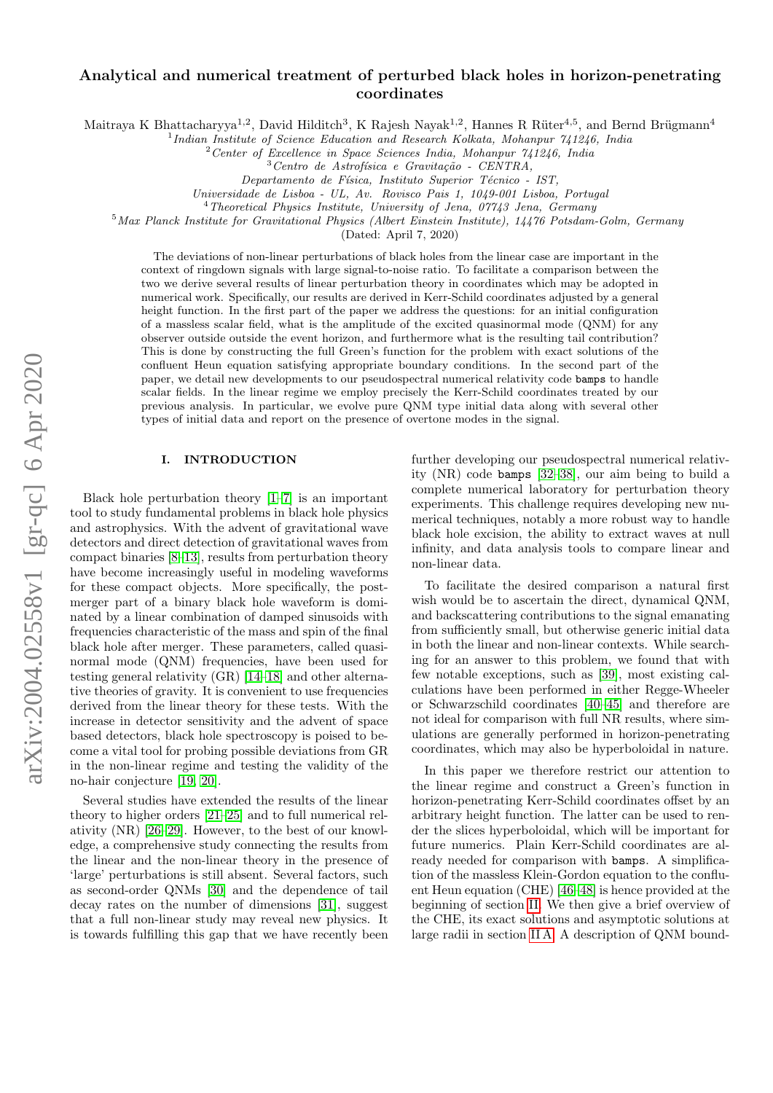# arXiv:2004.02558v1 [gr-qc] 6 Apr 2020 arXiv:2004.02558v1 [gr-qc] 6 Apr 2020

# Analytical and numerical treatment of perturbed black holes in horizon-penetrating coordinates

Maitraya K Bhattacharyya<sup>1,2</sup>, David Hilditch<sup>3</sup>, K Rajesh Nayak<sup>1,2</sup>, Hannes R Rüter<sup>4,5</sup>, and Bernd Brügmann<sup>4</sup>

<sup>1</sup>Indian Institute of Science Education and Research Kolkata, Mohanpur 741246, India

 $2$ Center of Excellence in Space Sciences India, Mohanpur 741246, India

Departamento de Física, Instituto Superior Técnico - IST,

Universidade de Lisboa - UL, Av. Rovisco Pais 1, 1049-001 Lisboa, Portugal

 $4$ Theoretical Physics Institute, University of Jena, 07743 Jena, Germany

<sup>5</sup>Max Planck Institute for Gravitational Physics (Albert Einstein Institute), 14476 Potsdam-Golm, Germany

(Dated: April 7, 2020)

The deviations of non-linear perturbations of black holes from the linear case are important in the context of ringdown signals with large signal-to-noise ratio. To facilitate a comparison between the two we derive several results of linear perturbation theory in coordinates which may be adopted in numerical work. Specifically, our results are derived in Kerr-Schild coordinates adjusted by a general height function. In the first part of the paper we address the questions: for an initial configuration of a massless scalar field, what is the amplitude of the excited quasinormal mode (QNM) for any observer outside outside the event horizon, and furthermore what is the resulting tail contribution? This is done by constructing the full Green's function for the problem with exact solutions of the confluent Heun equation satisfying appropriate boundary conditions. In the second part of the paper, we detail new developments to our pseudospectral numerical relativity code bamps to handle scalar fields. In the linear regime we employ precisely the Kerr-Schild coordinates treated by our previous analysis. In particular, we evolve pure QNM type initial data along with several other types of initial data and report on the presence of overtone modes in the signal.

# I. INTRODUCTION

Black hole perturbation theory [\[1–](#page-22-0)[7\]](#page-22-1) is an important tool to study fundamental problems in black hole physics and astrophysics. With the advent of gravitational wave detectors and direct detection of gravitational waves from compact binaries [\[8–](#page-22-2)[13\]](#page-22-3), results from perturbation theory have become increasingly useful in modeling waveforms for these compact objects. More specifically, the postmerger part of a binary black hole waveform is dominated by a linear combination of damped sinusoids with frequencies characteristic of the mass and spin of the final black hole after merger. These parameters, called quasinormal mode (QNM) frequencies, have been used for testing general relativity (GR) [\[14–](#page-22-4)[18\]](#page-22-5) and other alternative theories of gravity. It is convenient to use frequencies derived from the linear theory for these tests. With the increase in detector sensitivity and the advent of space based detectors, black hole spectroscopy is poised to become a vital tool for probing possible deviations from GR in the non-linear regime and testing the validity of the no-hair conjecture [\[19,](#page-22-6) [20\]](#page-22-7).

Several studies have extended the results of the linear theory to higher orders [\[21–](#page-22-8)[25\]](#page-22-9) and to full numerical relativity (NR) [\[26–](#page-22-10)[29\]](#page-22-11). However, to the best of our knowledge, a comprehensive study connecting the results from the linear and the non-linear theory in the presence of 'large' perturbations is still absent. Several factors, such as second-order QNMs [\[30\]](#page-22-12) and the dependence of tail decay rates on the number of dimensions [\[31\]](#page-22-13), suggest that a full non-linear study may reveal new physics. It is towards fulfilling this gap that we have recently been further developing our pseudospectral numerical relativity (NR) code bamps [\[32](#page-23-0)[–38\]](#page-23-1), our aim being to build a complete numerical laboratory for perturbation theory experiments. This challenge requires developing new numerical techniques, notably a more robust way to handle black hole excision, the ability to extract waves at null infinity, and data analysis tools to compare linear and non-linear data.

To facilitate the desired comparison a natural first wish would be to ascertain the direct, dynamical QNM, and backscattering contributions to the signal emanating from sufficiently small, but otherwise generic initial data in both the linear and non-linear contexts. While searching for an answer to this problem, we found that with few notable exceptions, such as [\[39\]](#page-23-2), most existing calculations have been performed in either Regge-Wheeler or Schwarzschild coordinates [\[40](#page-23-3)[–45\]](#page-23-4) and therefore are not ideal for comparison with full NR results, where simulations are generally performed in horizon-penetrating coordinates, which may also be hyperboloidal in nature.

In this paper we therefore restrict our attention to the linear regime and construct a Green's function in horizon-penetrating Kerr-Schild coordinates offset by an arbitrary height function. The latter can be used to render the slices hyperboloidal, which will be important for future numerics. Plain Kerr-Schild coordinates are already needed for comparison with bamps. A simplification of the massless Klein-Gordon equation to the confluent Heun equation (CHE) [\[46–](#page-23-5)[48\]](#page-23-6) is hence provided at the beginning of section [II.](#page-1-0) We then give a brief overview of the CHE, its exact solutions and asymptotic solutions at large radii in section [II A.](#page-3-0) A description of QNM bound-

 $3$ Centro de Astrofísica e Gravitação - CENTRA,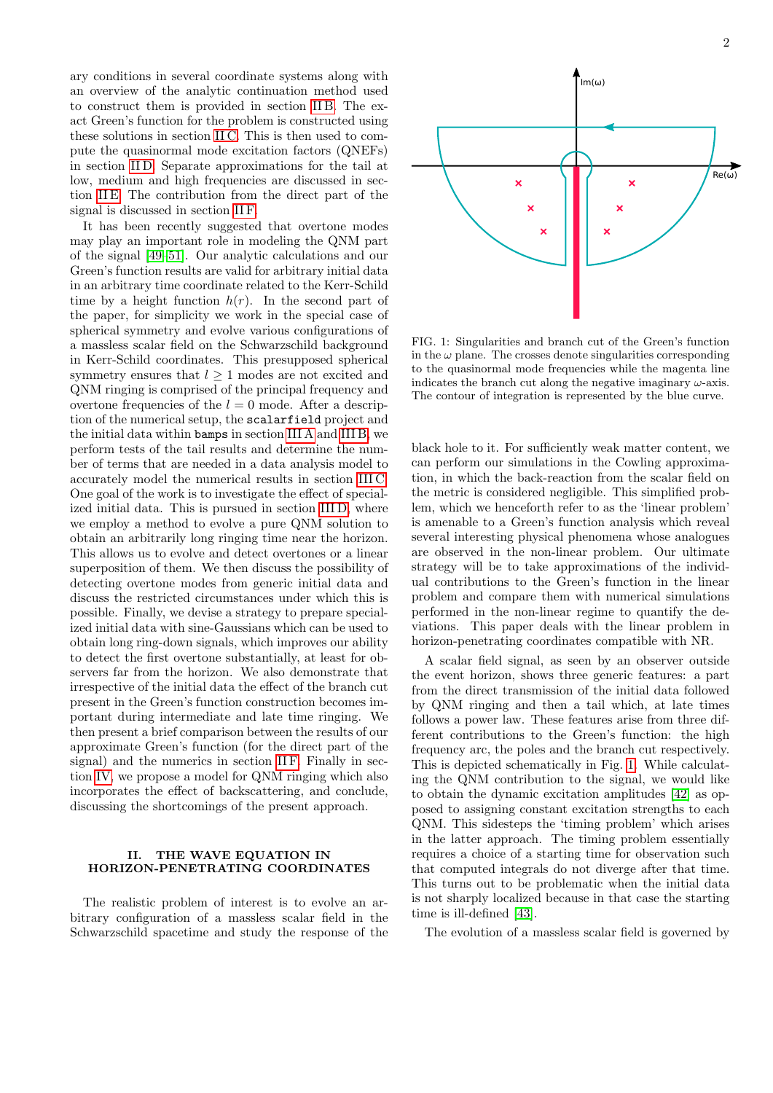ary conditions in several coordinate systems along with an overview of the analytic continuation method used to construct them is provided in section [II B.](#page-5-0) The exact Green's function for the problem is constructed using these solutions in section [II C.](#page-7-0) This is then used to compute the quasinormal mode excitation factors (QNEFs) in section [II D.](#page-7-1) Separate approximations for the tail at low, medium and high frequencies are discussed in section [II E.](#page-8-0) The contribution from the direct part of the signal is discussed in section [II F.](#page-11-0)

It has been recently suggested that overtone modes may play an important role in modeling the QNM part of the signal [\[49–](#page-23-7)[51\]](#page-23-8). Our analytic calculations and our Green's function results are valid for arbitrary initial data in an arbitrary time coordinate related to the Kerr-Schild time by a height function  $h(r)$ . In the second part of the paper, for simplicity we work in the special case of spherical symmetry and evolve various configurations of a massless scalar field on the Schwarzschild background in Kerr-Schild coordinates. This presupposed spherical symmetry ensures that  $l \geq 1$  modes are not excited and QNM ringing is comprised of the principal frequency and overtone frequencies of the  $l = 0$  mode. After a description of the numerical setup, the scalarfield project and the initial data within bamps in section [III A](#page-12-0) and [III B,](#page-12-1) we perform tests of the tail results and determine the number of terms that are needed in a data analysis model to accurately model the numerical results in section [III C.](#page-13-0) One goal of the work is to investigate the effect of specialized initial data. This is pursued in section [III D,](#page-15-0) where we employ a method to evolve a pure QNM solution to obtain an arbitrarily long ringing time near the horizon. This allows us to evolve and detect overtones or a linear superposition of them. We then discuss the possibility of detecting overtone modes from generic initial data and discuss the restricted circumstances under which this is possible. Finally, we devise a strategy to prepare specialized initial data with sine-Gaussians which can be used to obtain long ring-down signals, which improves our ability to detect the first overtone substantially, at least for observers far from the horizon. We also demonstrate that irrespective of the initial data the effect of the branch cut present in the Green's function construction becomes important during intermediate and late time ringing. We then present a brief comparison between the results of our approximate Green's function (for the direct part of the signal) and the numerics in section [II F.](#page-11-0) Finally in section [IV,](#page-20-0) we propose a model for QNM ringing which also incorporates the effect of backscattering, and conclude, discussing the shortcomings of the present approach.

# <span id="page-1-0"></span>II. THE WAVE EQUATION IN HORIZON-PENETRATING COORDINATES

The realistic problem of interest is to evolve an arbitrary configuration of a massless scalar field in the Schwarzschild spacetime and study the response of the



<span id="page-1-1"></span>FIG. 1: Singularities and branch cut of the Green's function in the  $\omega$  plane. The crosses denote singularities corresponding to the quasinormal mode frequencies while the magenta line indicates the branch cut along the negative imaginary  $\omega$ -axis. The contour of integration is represented by the blue curve.

black hole to it. For sufficiently weak matter content, we can perform our simulations in the Cowling approximation, in which the back-reaction from the scalar field on the metric is considered negligible. This simplified problem, which we henceforth refer to as the 'linear problem' is amenable to a Green's function analysis which reveal several interesting physical phenomena whose analogues are observed in the non-linear problem. Our ultimate strategy will be to take approximations of the individual contributions to the Green's function in the linear problem and compare them with numerical simulations performed in the non-linear regime to quantify the deviations. This paper deals with the linear problem in horizon-penetrating coordinates compatible with NR.

A scalar field signal, as seen by an observer outside the event horizon, shows three generic features: a part from the direct transmission of the initial data followed by QNM ringing and then a tail which, at late times follows a power law. These features arise from three different contributions to the Green's function: the high frequency arc, the poles and the branch cut respectively. This is depicted schematically in Fig. [1.](#page-1-1) While calculating the QNM contribution to the signal, we would like to obtain the dynamic excitation amplitudes [\[42\]](#page-23-9) as opposed to assigning constant excitation strengths to each QNM. This sidesteps the 'timing problem' which arises in the latter approach. The timing problem essentially requires a choice of a starting time for observation such that computed integrals do not diverge after that time. This turns out to be problematic when the initial data is not sharply localized because in that case the starting time is ill-defined [\[43\]](#page-23-10).

The evolution of a massless scalar field is governed by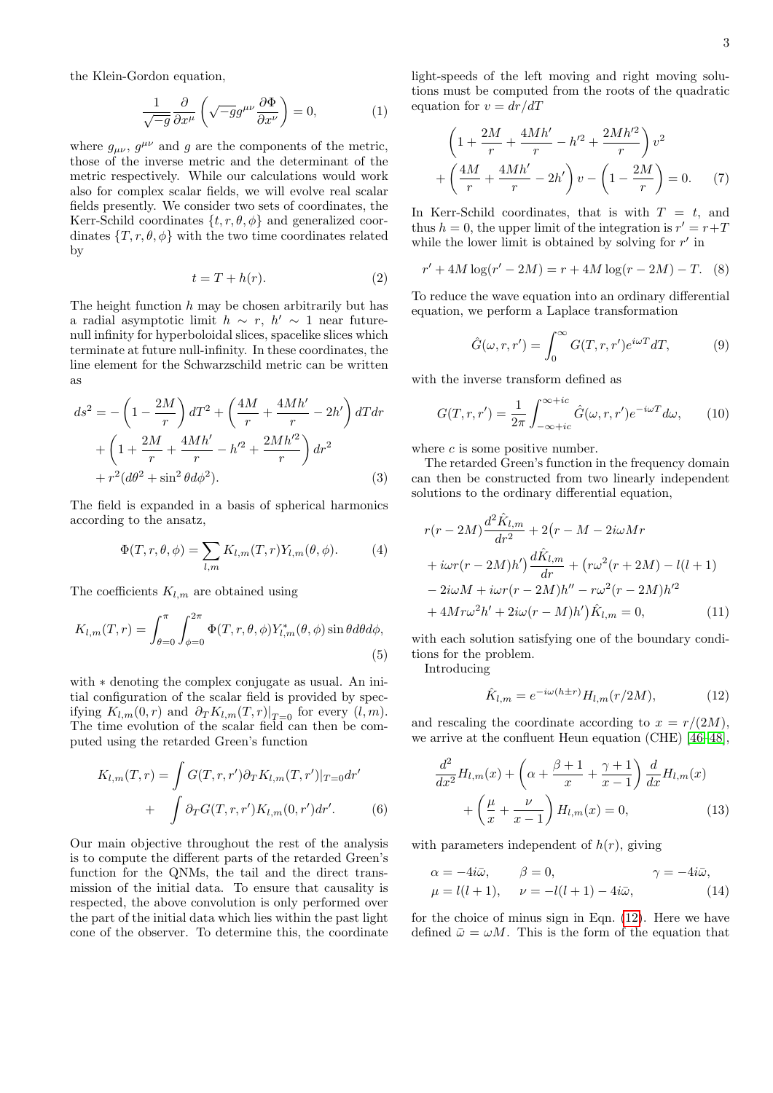the Klein-Gordon equation,

$$
\frac{1}{\sqrt{-g}} \frac{\partial}{\partial x^{\mu}} \left( \sqrt{-g} g^{\mu \nu} \frac{\partial \Phi}{\partial x^{\nu}} \right) = 0, \tag{1}
$$

where  $g_{\mu\nu}$ ,  $g^{\mu\nu}$  and g are the components of the metric, those of the inverse metric and the determinant of the metric respectively. While our calculations would work also for complex scalar fields, we will evolve real scalar fields presently. We consider two sets of coordinates, the Kerr-Schild coordinates  $\{t, r, \theta, \phi\}$  and generalized coordinates  $\{T, r, \theta, \phi\}$  with the two time coordinates related by

$$
t = T + h(r). \tag{2}
$$

The height function  $h$  may be chosen arbitrarily but has a radial asymptotic limit  $h \sim r$ ,  $h' \sim 1$  near futurenull infinity for hyperboloidal slices, spacelike slices which terminate at future null-infinity. In these coordinates, the line element for the Schwarzschild metric can be written as

$$
ds^{2} = -\left(1 - \frac{2M}{r}\right)dT^{2} + \left(\frac{4M}{r} + \frac{4Mh'}{r} - 2h'\right)dTdr
$$
  
+ 
$$
\left(1 + \frac{2M}{r} + \frac{4Mh'}{r} - h'^{2} + \frac{2Mh'^{2}}{r}\right)dr^{2}
$$
  
+ 
$$
r^{2}(d\theta^{2} + \sin^{2}\theta d\phi^{2}).
$$
 (3)

The field is expanded in a basis of spherical harmonics according to the ansatz,

$$
\Phi(T,r,\theta,\phi) = \sum_{l,m} K_{l,m}(T,r) Y_{l,m}(\theta,\phi).
$$
 (4)

The coefficients  $K_{l,m}$  are obtained using

$$
K_{l,m}(T,r) = \int_{\theta=0}^{\pi} \int_{\phi=0}^{2\pi} \Phi(T,r,\theta,\phi) Y_{l,m}^*(\theta,\phi) \sin\theta d\theta d\phi,
$$
\n(5)

with  $*$  denoting the complex conjugate as usual. An initial configuration of the scalar field is provided by specifying  $K_{l,m}(0,r)$  and  $\partial_T K_{l,m}(T,r)|_{T=0}$  for every  $(l,m)$ . The time evolution of the scalar field can then be computed using the retarded Green's function

$$
K_{l,m}(T,r) = \int G(T,r,r')\partial_T K_{l,m}(T,r')|_{T=0}dr'
$$
  
+ 
$$
\int \partial_T G(T,r,r')K_{l,m}(0,r')dr'.
$$
 (6)

Our main objective throughout the rest of the analysis is to compute the different parts of the retarded Green's function for the QNMs, the tail and the direct transmission of the initial data. To ensure that causality is respected, the above convolution is only performed over the part of the initial data which lies within the past light cone of the observer. To determine this, the coordinate light-speeds of the left moving and right moving solutions must be computed from the roots of the quadratic equation for  $v = dr/dT$ 

$$
\left(1 + \frac{2M}{r} + \frac{4Mh'}{r} - h'^2 + \frac{2Mh'^2}{r}\right)v^2 + \left(\frac{4M}{r} + \frac{4Mh'}{r} - 2h'\right)v - \left(1 - \frac{2M}{r}\right) = 0.
$$
 (7)

In Kerr-Schild coordinates, that is with  $T = t$ , and thus  $h = 0$ , the upper limit of the integration is  $r' = r + T$ while the lower limit is obtained by solving for  $r'$  in

$$
r' + 4M \log(r' - 2M) = r + 4M \log(r - 2M) - T.
$$
 (8)

To reduce the wave equation into an ordinary differential equation, we perform a Laplace transformation

<span id="page-2-3"></span>
$$
\hat{G}(\omega, r, r') = \int_0^\infty G(T, r, r') e^{i\omega T} dT,\tag{9}
$$

with the inverse transform defined as

$$
G(T,r,r') = \frac{1}{2\pi} \int_{-\infty + ic}^{\infty + ic} \hat{G}(\omega, r, r') e^{-i\omega T} d\omega, \qquad (10)
$$

where  $c$  is some positive number.

The retarded Green's function in the frequency domain can then be constructed from two linearly independent solutions to the ordinary differential equation,

$$
r(r - 2M)\frac{d^{2}\hat{K}_{l,m}}{dr^{2}} + 2(r - M - 2i\omega Mr + i\omega r(r - 2M)h')\frac{d\hat{K}_{l,m}}{dr} + (r\omega^{2}(r + 2M) - l(l + 1) - 2i\omega M + i\omega r(r - 2M)h'' - r\omega^{2}(r - 2M)h'^{2} + 4Mr\omega^{2}h' + 2i\omega(r - M)h')\hat{K}_{l,m} = 0,
$$
 (11)

with each solution satisfying one of the boundary conditions for the problem.

Introducing

<span id="page-2-2"></span><span id="page-2-0"></span>
$$
\hat{K}_{l,m} = e^{-i\omega(h \pm r)} H_{l,m}(r/2M),
$$
\n(12)

and rescaling the coordinate according to  $x = r/(2M)$ , we arrive at the confluent Heun equation (CHE) [\[46–](#page-23-5)[48\]](#page-23-6),

$$
\frac{d^2}{dx^2}H_{l,m}(x) + \left(\alpha + \frac{\beta+1}{x} + \frac{\gamma+1}{x-1}\right)\frac{d}{dx}H_{l,m}(x) + \left(\frac{\mu}{x} + \frac{\nu}{x-1}\right)H_{l,m}(x) = 0,
$$
\n(13)

with parameters independent of  $h(r)$ , giving

<span id="page-2-1"></span>
$$
\alpha = -4i\bar{\omega}, \qquad \beta = 0, \qquad \gamma = -4i\bar{\omega},
$$
  

$$
\mu = l(l+1), \qquad \nu = -l(l+1) - 4i\bar{\omega}, \qquad (14)
$$

for the choice of minus sign in Eqn. [\(12\)](#page-2-0). Here we have defined  $\bar{\omega} = \omega M$ . This is the form of the equation that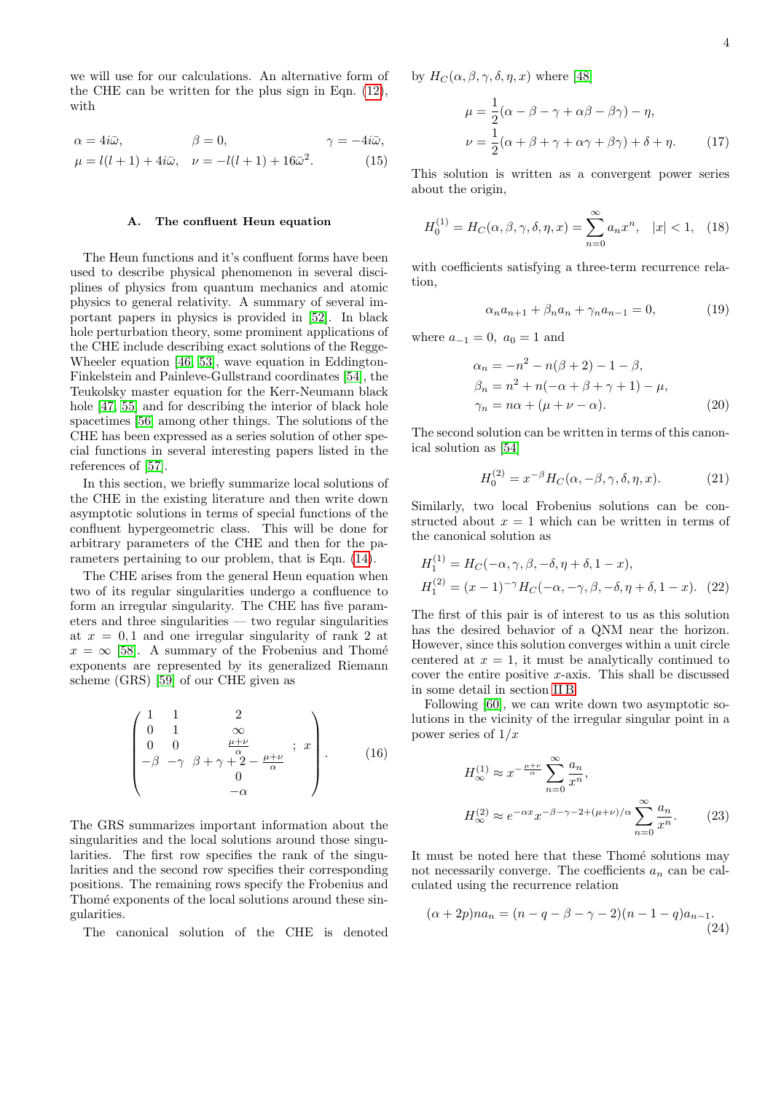we will use for our calculations. An alternative form of the CHE can be written for the plus sign in Eqn. [\(12\)](#page-2-0), with

$$
\alpha = 4i\bar{\omega}, \qquad \beta = 0, \qquad \gamma = -4i\bar{\omega},
$$
  

$$
\mu = l(l+1) + 4i\bar{\omega}, \quad \nu = -l(l+1) + 16\bar{\omega}^2.
$$
 (15)

# <span id="page-3-0"></span>A. The confluent Heun equation

The Heun functions and it's confluent forms have been used to describe physical phenomenon in several disciplines of physics from quantum mechanics and atomic physics to general relativity. A summary of several important papers in physics is provided in [\[52\]](#page-23-11). In black hole perturbation theory, some prominent applications of the CHE include describing exact solutions of the Regge-Wheeler equation [\[46,](#page-23-5) [53\]](#page-23-12), wave equation in Eddington-Finkelstein and Painleve-Gullstrand coordinates [\[54\]](#page-23-13), the Teukolsky master equation for the Kerr-Neumann black hole [\[47,](#page-23-14) [55\]](#page-23-15) and for describing the interior of black hole spacetimes [\[56\]](#page-23-16) among other things. The solutions of the CHE has been expressed as a series solution of other special functions in several interesting papers listed in the references of [\[57\]](#page-23-17).

In this section, we briefly summarize local solutions of the CHE in the existing literature and then write down asymptotic solutions in terms of special functions of the confluent hypergeometric class. This will be done for arbitrary parameters of the CHE and then for the parameters pertaining to our problem, that is Eqn. [\(14\)](#page-2-1).

The CHE arises from the general Heun equation when two of its regular singularities undergo a confluence to form an irregular singularity. The CHE has five parameters and three singularities — two regular singularities at  $x = 0, 1$  and one irregular singularity of rank 2 at  $x = \infty$  [\[58\]](#page-23-18). A summary of the Frobenius and Thomé exponents are represented by its generalized Riemann scheme (GRS) [\[59\]](#page-23-19) of our CHE given as

$$
\begin{pmatrix}\n1 & 1 & 2 \\
0 & 1 & \infty \\
0 & 0 & \frac{\mu+\nu}{\alpha} \\
-\beta & -\gamma & \beta + \gamma + 2 - \frac{\mu+\nu}{\alpha} \\
0 & -\alpha\n\end{pmatrix}.
$$
\n(16)

The GRS summarizes important information about the singularities and the local solutions around those singularities. The first row specifies the rank of the singularities and the second row specifies their corresponding positions. The remaining rows specify the Frobenius and Thomé exponents of the local solutions around these singularities.

The canonical solution of the CHE is denoted

by  $H_C(\alpha, \beta, \gamma, \delta, \eta, x)$  where [\[48\]](#page-23-6)

$$
\mu = \frac{1}{2}(\alpha - \beta - \gamma + \alpha\beta - \beta\gamma) - \eta,
$$
  

$$
\nu = \frac{1}{2}(\alpha + \beta + \gamma + \alpha\gamma + \beta\gamma) + \delta + \eta.
$$
 (17)

This solution is written as a convergent power series about the origin,

$$
H_0^{(1)} = H_C(\alpha, \beta, \gamma, \delta, \eta, x) = \sum_{n=0}^{\infty} a_n x^n, \quad |x| < 1, \quad (18)
$$

with coefficients satisfying a three-term recurrence relation,

<span id="page-3-1"></span>
$$
\alpha_n a_{n+1} + \beta_n a_n + \gamma_n a_{n-1} = 0,\tag{19}
$$

where  $a_{-1} = 0$ ,  $a_0 = 1$  and

$$
\alpha_n = -n^2 - n(\beta + 2) - 1 - \beta,
$$
  
\n
$$
\beta_n = n^2 + n(-\alpha + \beta + \gamma + 1) - \mu,
$$
  
\n
$$
\gamma_n = n\alpha + (\mu + \nu - \alpha).
$$
\n(20)

The second solution can be written in terms of this canonical solution as [\[54\]](#page-23-13)

$$
H_0^{(2)} = x^{-\beta} H_C(\alpha, -\beta, \gamma, \delta, \eta, x). \tag{21}
$$

Similarly, two local Frobenius solutions can be constructed about  $x = 1$  which can be written in terms of the canonical solution as

$$
H_1^{(1)} = H_C(-\alpha, \gamma, \beta, -\delta, \eta + \delta, 1 - x),
$$
  
\n
$$
H_1^{(2)} = (x - 1)^{-\gamma} H_C(-\alpha, -\gamma, \beta, -\delta, \eta + \delta, 1 - x). \quad (22)
$$

The first of this pair is of interest to us as this solution has the desired behavior of a QNM near the horizon. However, since this solution converges within a unit circle centered at  $x = 1$ , it must be analytically continued to cover the entire positive  $x$ -axis. This shall be discussed in some detail in section [II B.](#page-5-0)

Following [\[60\]](#page-23-20), we can write down two asymptotic solutions in the vicinity of the irregular singular point in a power series of  $1/x$ 

$$
H_{\infty}^{(1)} \approx x^{-\frac{\mu+\nu}{\alpha}} \sum_{n=0}^{\infty} \frac{a_n}{x^n},
$$
  

$$
H_{\infty}^{(2)} \approx e^{-\alpha x} x^{-\beta-\gamma-2+(\mu+\nu)/\alpha} \sum_{n=0}^{\infty} \frac{a_n}{x^n}.
$$
 (23)

It must be noted here that these Thomé solutions may not necessarily converge. The coefficients  $a_n$  can be calculated using the recurrence relation

$$
(\alpha + 2p)na_n = (n - q - \beta - \gamma - 2)(n - 1 - q)a_{n-1}.
$$
\n(24)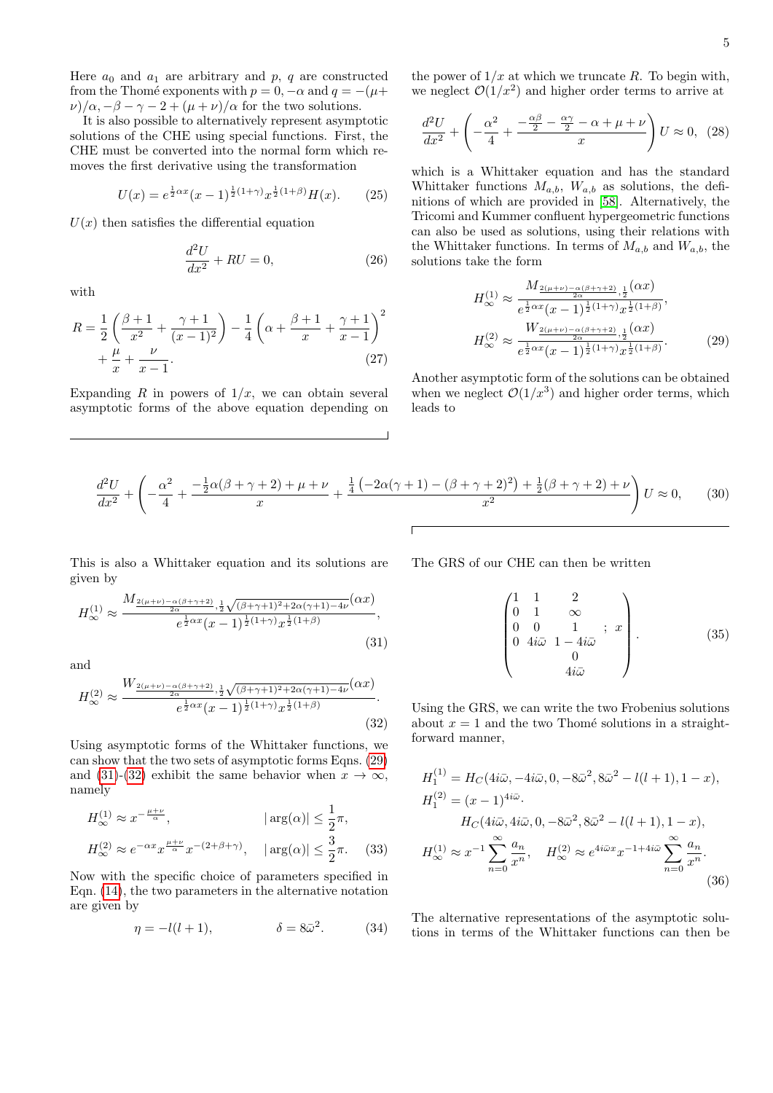Here  $a_0$  and  $a_1$  are arbitrary and  $p, q$  are constructed from the Thomé exponents with  $p = 0, -\alpha$  and  $q = -(\mu +$  $\nu$ / $\alpha$ ,  $-\beta$  –  $\gamma$  – 2 +  $(\mu + \nu)/\alpha$  for the two solutions.

It is also possible to alternatively represent asymptotic solutions of the CHE using special functions. First, the CHE must be converted into the normal form which removes the first derivative using the transformation

$$
U(x) = e^{\frac{1}{2}\alpha x} (x-1)^{\frac{1}{2}(1+\gamma)} x^{\frac{1}{2}(1+\beta)} H(x).
$$
 (25)

 $U(x)$  then satisfies the differential equation

$$
\frac{d^2U}{dx^2} + RU = 0,\t\t(26)
$$

with

$$
R = \frac{1}{2} \left( \frac{\beta + 1}{x^2} + \frac{\gamma + 1}{(x - 1)^2} \right) - \frac{1}{4} \left( \alpha + \frac{\beta + 1}{x} + \frac{\gamma + 1}{x - 1} \right)^2 + \frac{\mu}{x} + \frac{\nu}{x - 1}.
$$
\n(27)

Expanding R in powers of  $1/x$ , we can obtain several asymptotic forms of the above equation depending on the power of  $1/x$  at which we truncate R. To begin with, we neglect  $\mathcal{O}(1/x^2)$  and higher order terms to arrive at

$$
\frac{d^2U}{dx^2} + \left(-\frac{\alpha^2}{4} + \frac{-\frac{\alpha\beta}{2} - \frac{\alpha\gamma}{2} - \alpha + \mu + \nu}{x}\right)U \approx 0, \tag{28}
$$

which is a Whittaker equation and has the standard Whittaker functions  $M_{a,b}$ ,  $W_{a,b}$  as solutions, the definitions of which are provided in [\[58\]](#page-23-18). Alternatively, the Tricomi and Kummer confluent hypergeometric functions can also be used as solutions, using their relations with the Whittaker functions. In terms of  $M_{a,b}$  and  $W_{a,b}$ , the solutions take the form

<span id="page-4-0"></span>
$$
H_{\infty}^{(1)} \approx \frac{M_{\frac{2(\mu+\nu)-\alpha(\beta+\gamma+2)}{2\alpha},\frac{1}{2}}(\alpha x)}{e^{\frac{1}{2}\alpha x}(x-1)^{\frac{1}{2}(1+\gamma)}x^{\frac{1}{2}(1+\beta)}},
$$

$$
H_{\infty}^{(2)} \approx \frac{W_{\frac{2(\mu+\nu)-\alpha(\beta+\gamma+2)}{2\alpha},\frac{1}{2}}(\alpha x)}{e^{\frac{1}{2}\alpha x}(x-1)^{\frac{1}{2}(1+\gamma)}x^{\frac{1}{2}(1+\beta)}}.
$$
(29)

Another asymptotic form of the solutions can be obtained when we neglect  $\mathcal{O}(1/x^3)$  and higher order terms, which leads to

$$
\frac{d^2U}{dx^2} + \left(-\frac{\alpha^2}{4} + \frac{-\frac{1}{2}\alpha(\beta + \gamma + 2) + \mu + \nu}{x} + \frac{\frac{1}{4}\left(-2\alpha(\gamma + 1) - (\beta + \gamma + 2)^2\right) + \frac{1}{2}(\beta + \gamma + 2) + \nu}{x^2}\right)U \approx 0,\tag{30}
$$

This is also a Whittaker equation and its solutions are given by

$$
H_{\infty}^{(1)} \approx \frac{M_{\frac{2(\mu+\nu)-\alpha(\beta+\gamma+2)}{2\alpha},\frac{1}{2}\sqrt{(\beta+\gamma+1)^2+2\alpha(\gamma+1)-4\nu}}(\alpha x)}{e^{\frac{1}{2}\alpha x}(x-1)^{\frac{1}{2}(1+\gamma)}x^{\frac{1}{2}(1+\beta)}},
$$
\n(31)

and

$$
H_{\infty}^{(2)} \approx \frac{W_{\frac{2(\mu+\nu)-\alpha(\beta+\gamma+2)}{2\alpha},\frac{1}{2}\sqrt{(\beta+\gamma+1)^2+2\alpha(\gamma+1)-4\nu}}(\alpha x)}{e^{\frac{1}{2}\alpha x}(x-1)^{\frac{1}{2}(1+\gamma)}x^{\frac{1}{2}(1+\beta)}}.
$$
\n(32)

Using asymptotic forms of the Whittaker functions, we can show that the two sets of asymptotic forms Eqns. [\(29\)](#page-4-0) and [\(31\)](#page-4-1)-[\(32\)](#page-4-2) exhibit the same behavior when  $x \to \infty$ , namely

$$
H_{\infty}^{(1)} \approx x^{-\frac{\mu+\nu}{\alpha}}, \qquad |\arg(\alpha)| \le \frac{1}{2}\pi,
$$
  

$$
H_{\infty}^{(2)} \approx e^{-\alpha x} x^{\frac{\mu+\nu}{\alpha}} x^{-(2+\beta+\gamma)}, \quad |\arg(\alpha)| \le \frac{3}{2}\pi.
$$
 (33)

Now with the specific choice of parameters specified in Eqn. [\(14\)](#page-2-1), the two parameters in the alternative notation are given by

$$
\eta = -l(l+1), \qquad \qquad \delta = 8\bar{\omega}^2. \tag{34}
$$

<span id="page-4-1"></span>The GRS of our CHE can then be written

$$
\begin{pmatrix}\n1 & 1 & 2 \\
0 & 1 & \infty \\
0 & 0 & 1 \\
0 & 4i\bar{\omega} & 1 - 4i\bar{\omega} \\
0 & 0 & 4i\bar{\omega}\n\end{pmatrix}.
$$
\n(35)

<span id="page-4-2"></span>Using the GRS, we can write the two Frobenius solutions about  $x = 1$  and the two Thomé solutions in a straightforward manner,

$$
H_1^{(1)} = H_C(4i\bar{\omega}, -4i\bar{\omega}, 0, -8\bar{\omega}^2, 8\bar{\omega}^2 - l(l+1), 1-x),
$$
  
\n
$$
H_1^{(2)} = (x-1)^{4i\bar{\omega}}.
$$
  
\n
$$
H_C(4i\bar{\omega}, 4i\bar{\omega}, 0, -8\bar{\omega}^2, 8\bar{\omega}^2 - l(l+1), 1-x),
$$
  
\n
$$
H_{\infty}^{(1)} \approx x^{-1} \sum_{n=0}^{\infty} \frac{a_n}{x^n}, \quad H_{\infty}^{(2)} \approx e^{4i\bar{\omega}x} x^{-1+4i\bar{\omega}} \sum_{n=0}^{\infty} \frac{a_n}{x^n}.
$$
  
\n(36)

<span id="page-4-3"></span>The alternative representations of the asymptotic solutions in terms of the Whittaker functions can then be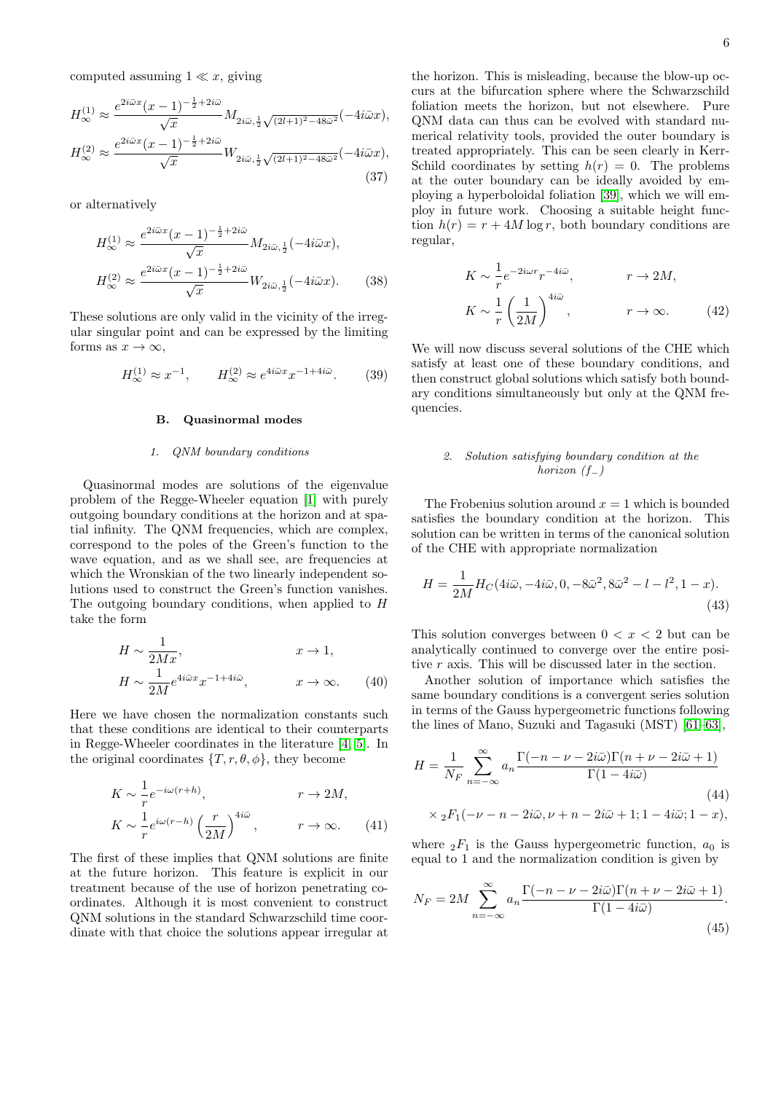computed assuming  $1 \ll x$ , giving

$$
H_{\infty}^{(1)} \approx \frac{e^{2i\bar{\omega}x}(x-1)^{-\frac{1}{2}+2i\bar{\omega}}}{\sqrt{x}} M_{2i\bar{\omega},\frac{1}{2}\sqrt{(2l+1)^2-48\bar{\omega}^2}}(-4i\bar{\omega}x),
$$

$$
H_{\infty}^{(2)} \approx \frac{e^{2i\bar{\omega}x}(x-1)^{-\frac{1}{2}+2i\bar{\omega}}}{\sqrt{x}} W_{2i\bar{\omega},\frac{1}{2}\sqrt{(2l+1)^2-48\bar{\omega}^2}}(-4i\bar{\omega}x),\tag{37}
$$

or alternatively

$$
H_{\infty}^{(1)} \approx \frac{e^{2i\bar{\omega}x}(x-1)^{-\frac{1}{2}+2i\bar{\omega}}}{\sqrt{x}} M_{2i\bar{\omega},\frac{1}{2}}(-4i\bar{\omega}x),
$$
  

$$
H_{\infty}^{(2)} \approx \frac{e^{2i\bar{\omega}x}(x-1)^{-\frac{1}{2}+2i\bar{\omega}}}{\sqrt{x}} W_{2i\bar{\omega},\frac{1}{2}}(-4i\bar{\omega}x).
$$
 (38)

These solutions are only valid in the vicinity of the irregular singular point and can be expressed by the limiting forms as  $x \to \infty$ ,

$$
H_{\infty}^{(1)} \approx x^{-1}, \qquad H_{\infty}^{(2)} \approx e^{4i\bar{\omega}x} x^{-1+4i\bar{\omega}}.
$$
 (39)

# <span id="page-5-0"></span>B. Quasinormal modes

# 1. QNM boundary conditions

Quasinormal modes are solutions of the eigenvalue problem of the Regge-Wheeler equation [\[1\]](#page-22-0) with purely outgoing boundary conditions at the horizon and at spatial infinity. The QNM frequencies, which are complex, correspond to the poles of the Green's function to the wave equation, and as we shall see, are frequencies at which the Wronskian of the two linearly independent solutions used to construct the Green's function vanishes. The outgoing boundary conditions, when applied to H take the form

$$
H \sim \frac{1}{2Mx}, \qquad x \to 1,
$$
  
\n
$$
H \sim \frac{1}{2M} e^{4i\bar{\omega}x} x^{-1+4i\bar{\omega}}, \qquad x \to \infty.
$$
 (40)

Here we have chosen the normalization constants such that these conditions are identical to their counterparts in Regge-Wheeler coordinates in the literature [\[4,](#page-22-14) [5\]](#page-22-15). In the original coordinates  $\{T, r, \theta, \phi\}$ , they become

$$
K \sim \frac{1}{r} e^{-i\omega(r+h)}, \qquad r \to 2M,
$$
  
\n
$$
K \sim \frac{1}{r} e^{i\omega(r-h)} \left(\frac{r}{2M}\right)^{4i\bar{\omega}}, \qquad r \to \infty.
$$
 (41)

The first of these implies that QNM solutions are finite at the future horizon. This feature is explicit in our treatment because of the use of horizon penetrating coordinates. Although it is most convenient to construct QNM solutions in the standard Schwarzschild time coordinate with that choice the solutions appear irregular at

the horizon. This is misleading, because the blow-up occurs at the bifurcation sphere where the Schwarzschild foliation meets the horizon, but not elsewhere. Pure QNM data can thus can be evolved with standard numerical relativity tools, provided the outer boundary is treated appropriately. This can be seen clearly in Kerr-Schild coordinates by setting  $h(r) = 0$ . The problems at the outer boundary can be ideally avoided by employing a hyperboloidal foliation [\[39\]](#page-23-2), which we will employ in future work. Choosing a suitable height function  $h(r) = r + 4M \log r$ , both boundary conditions are regular,

$$
K \sim \frac{1}{r} e^{-2i\omega r} r^{-4i\bar{\omega}}, \qquad r \to 2M,
$$
  

$$
K \sim \frac{1}{r} \left(\frac{1}{2M}\right)^{4i\bar{\omega}}, \qquad r \to \infty.
$$
 (42)

We will now discuss several solutions of the CHE which satisfy at least one of these boundary conditions, and then construct global solutions which satisfy both boundary conditions simultaneously but only at the QNM frequencies.

# 2. Solution satisfying boundary condition at the horizon  $(f_+)$

The Frobenius solution around  $x = 1$  which is bounded satisfies the boundary condition at the horizon. This solution can be written in terms of the canonical solution of the CHE with appropriate normalization

$$
H = \frac{1}{2M} H_C(4i\bar{\omega}, -4i\bar{\omega}, 0, -8\bar{\omega}^2, 8\bar{\omega}^2 - l - l^2, 1 - x).
$$
\n(43)

This solution converges between  $0 < x < 2$  but can be analytically continued to converge over the entire positive r axis. This will be discussed later in the section.

Another solution of importance which satisfies the same boundary conditions is a convergent series solution in terms of the Gauss hypergeometric functions following the lines of Mano, Suzuki and Tagasuki (MST) [\[61–](#page-23-21)[63\]](#page-23-22),

$$
H = \frac{1}{N_F} \sum_{n=-\infty}^{\infty} a_n \frac{\Gamma(-n - \nu - 2i\bar{\omega})\Gamma(n + \nu - 2i\bar{\omega} + 1)}{\Gamma(1 - 4i\bar{\omega})}
$$
\n
$$
\times {}_{2}F_{1}(-\nu - n - 2i\bar{\omega}, \nu + n - 2i\bar{\omega} + 1; 1 - 4i\bar{\omega}; 1 - x),
$$
\n(44)

where  ${}_2F_1$  is the Gauss hypergeometric function,  $a_0$  is equal to 1 and the normalization condition is given by

$$
N_F = 2M \sum_{n=-\infty}^{\infty} a_n \frac{\Gamma(-n - \nu - 2i\bar{\omega})\Gamma(n + \nu - 2i\bar{\omega} + 1)}{\Gamma(1 - 4i\bar{\omega})}.
$$
\n(45)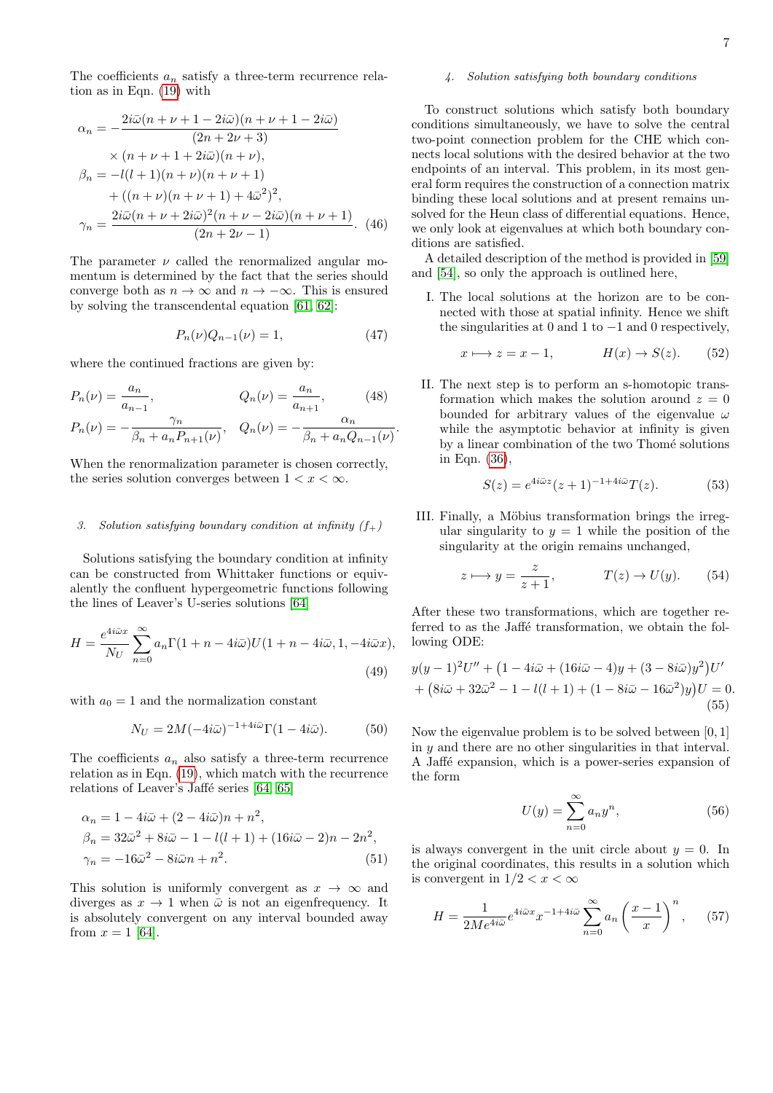The coefficients  $a_n$  satisfy a three-term recurrence relation as in Eqn. [\(19\)](#page-3-1) with

$$
\alpha_n = -\frac{2i\bar{\omega}(n+\nu+1-2i\bar{\omega})(n+\nu+1-2i\bar{\omega})}{(2n+2\nu+3)}
$$
  
\n
$$
\times (n+\nu+1+2i\bar{\omega})(n+\nu),
$$
  
\n
$$
\beta_n = -l(l+1)(n+\nu)(n+\nu+1)
$$
  
\n
$$
+ ((n+\nu)(n+\nu+1)+4\bar{\omega}^2)^2,
$$
  
\n
$$
\gamma_n = \frac{2i\bar{\omega}(n+\nu+2i\bar{\omega})^2(n+\nu-2i\bar{\omega})(n+\nu+1)}{(2n+2\nu-1)}.
$$
 (46)

The parameter  $\nu$  called the renormalized angular momentum is determined by the fact that the series should converge both as  $n \to \infty$  and  $n \to -\infty$ . This is ensured by solving the transcendental equation [\[61,](#page-23-21) [62\]](#page-23-23):

$$
P_n(\nu)Q_{n-1}(\nu) = 1,\t\t(47)
$$

.

where the continued fractions are given by:

$$
P_n(\nu) = \frac{a_n}{a_{n-1}}, \qquad Q_n(\nu) = \frac{a_n}{a_{n+1}}, \qquad (48)
$$
\n
$$
P_n(\nu) = \frac{a_n}{a_{n+1}}, \qquad Q_n(\nu) = \frac{a_n}{a_n}.
$$

$$
P_n(\nu) = -\frac{n}{\beta_n + a_n P_{n+1}(\nu)}, \quad Q_n(\nu) = -\frac{a_n}{\beta_n + a_n Q_{n-1}(\nu)}
$$

When the renormalization parameter is chosen correctly, the series solution converges between  $1 < x < \infty$ .

# 3. Solution satisfying boundary condition at infinity  $(f_+)$

Solutions satisfying the boundary condition at infinity can be constructed from Whittaker functions or equivalently the confluent hypergeometric functions following the lines of Leaver's U-series solutions [\[64\]](#page-23-24)

$$
H = \frac{e^{4i\bar{\omega}x}}{N_U} \sum_{n=0}^{\infty} a_n \Gamma(1 + n - 4i\bar{\omega}) U(1 + n - 4i\bar{\omega}, 1, -4i\bar{\omega}x),
$$
\n(49)

with  $a_0 = 1$  and the normalization constant

$$
N_U = 2M(-4i\bar{\omega})^{-1+4i\bar{\omega}}\Gamma(1-4i\bar{\omega}).
$$
 (50)

The coefficients  $a_n$  also satisfy a three-term recurrence relation as in Eqn. [\(19\)](#page-3-1), which match with the recurrence relations of Leaver's Jaffé series  $[64, 65]$  $[64, 65]$ 

$$
\alpha_n = 1 - 4i\bar{\omega} + (2 - 4i\bar{\omega})n + n^2, \n\beta_n = 32\bar{\omega}^2 + 8i\bar{\omega} - 1 - l(l+1) + (16i\bar{\omega} - 2)n - 2n^2, \n\gamma_n = -16\bar{\omega}^2 - 8i\bar{\omega}n + n^2.
$$
\n(51)

This solution is uniformly convergent as  $x \to \infty$  and diverges as  $x \to 1$  when  $\bar{\omega}$  is not an eigenfrequency. It is absolutely convergent on any interval bounded away from  $x = 1$  [\[64\]](#page-23-24).

# 4. Solution satisfying both boundary conditions

To construct solutions which satisfy both boundary conditions simultaneously, we have to solve the central two-point connection problem for the CHE which connects local solutions with the desired behavior at the two endpoints of an interval. This problem, in its most general form requires the construction of a connection matrix binding these local solutions and at present remains unsolved for the Heun class of differential equations. Hence, we only look at eigenvalues at which both boundary conditions are satisfied.

A detailed description of the method is provided in [\[59\]](#page-23-19) and [\[54\]](#page-23-13), so only the approach is outlined here,

I. The local solutions at the horizon are to be connected with those at spatial infinity. Hence we shift the singularities at 0 and 1 to  $-1$  and 0 respectively,

$$
x \longmapsto z = x - 1, \qquad H(x) \to S(z). \tag{52}
$$

II. The next step is to perform an s-homotopic transformation which makes the solution around  $z = 0$ bounded for arbitrary values of the eigenvalue  $\omega$ while the asymptotic behavior at infinity is given by a linear combination of the two Thomé solutions in Eqn. [\(36\)](#page-4-3),

$$
S(z) = e^{4i\bar{\omega}z}(z+1)^{-1+4i\bar{\omega}}T(z).
$$
 (53)

III. Finally, a Möbius transformation brings the irregular singularity to  $y = 1$  while the position of the singularity at the origin remains unchanged,

$$
z \longmapsto y = \frac{z}{z+1}, \qquad T(z) \to U(y). \qquad (54)
$$

After these two transformations, which are together referred to as the Jaffé transformation, we obtain the following ODE:

$$
y(y-1)^{2}U'' + (1 - 4i\bar{\omega} + (16i\bar{\omega} - 4)y + (3 - 8i\bar{\omega})y^{2})U' + (8i\bar{\omega} + 32\bar{\omega}^{2} - 1 - l(l+1) + (1 - 8i\bar{\omega} - 16\bar{\omega}^{2})y)U = 0.
$$
\n(55)

Now the eigenvalue problem is to be solved between [0, 1] in  $y$  and there are no other singularities in that interval. A Jaffé expansion, which is a power-series expansion of the form

$$
U(y) = \sum_{n=0}^{\infty} a_n y^n,
$$
\n(56)

<span id="page-6-0"></span>is always convergent in the unit circle about  $y = 0$ . In the original coordinates, this results in a solution which is convergent in  $1/2 < x < \infty$ 

$$
H = \frac{1}{2Me^{4i\bar{\omega}}}e^{4i\bar{\omega}x}x^{-1+4i\bar{\omega}}\sum_{n=0}^{\infty}a_n\left(\frac{x-1}{x}\right)^n, \quad (57)
$$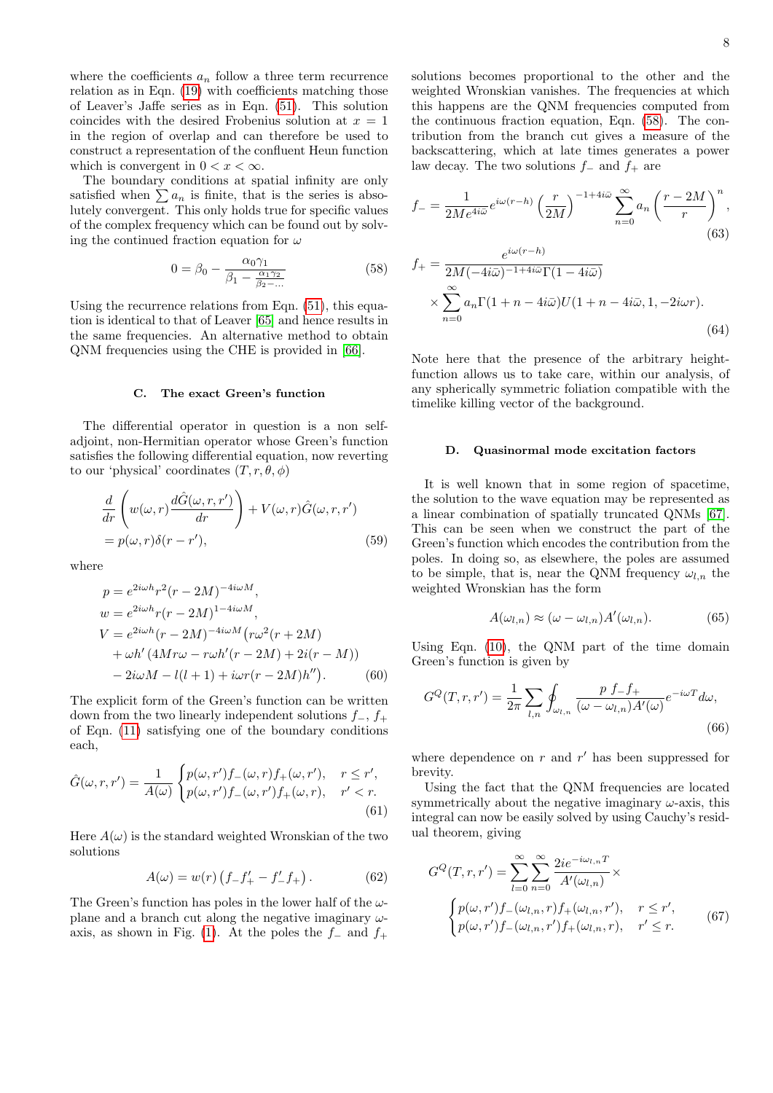where the coefficients  $a_n$  follow a three term recurrence relation as in Eqn. [\(19\)](#page-3-1) with coefficients matching those of Leaver's Jaffe series as in Eqn. [\(51\)](#page-6-0). This solution coincides with the desired Frobenius solution at  $x = 1$ in the region of overlap and can therefore be used to construct a representation of the confluent Heun function which is convergent in  $0 < x < \infty$ .

The boundary conditions at spatial infinity are only satisfied when  $\sum a_n$  is finite, that is the series is absolutely convergent. This only holds true for specific values of the complex frequency which can be found out by solving the continued fraction equation for  $\omega$ 

$$
0 = \beta_0 - \frac{\alpha_0 \gamma_1}{\beta_1 - \frac{\alpha_1 \gamma_2}{\beta_2 - \dots}} \tag{58}
$$

Using the recurrence relations from Eqn.  $(51)$ , this equation is identical to that of Leaver [\[65\]](#page-23-25) and hence results in the same frequencies. An alternative method to obtain QNM frequencies using the CHE is provided in [\[66\]](#page-23-26).

# <span id="page-7-0"></span>C. The exact Green's function

The differential operator in question is a non selfadjoint, non-Hermitian operator whose Green's function satisfies the following differential equation, now reverting to our 'physical' coordinates  $(T, r, \theta, \phi)$ 

$$
\frac{d}{dr}\left(w(\omega,r)\frac{d\hat{G}(\omega,r,r')}{dr}\right) + V(\omega,r)\hat{G}(\omega,r,r')
$$
\n
$$
= p(\omega,r)\delta(r-r'),\tag{59}
$$

where

$$
p = e^{2i\omega h}r^{2}(r - 2M)^{-4i\omega M},
$$
  
\n
$$
w = e^{2i\omega h}r(r - 2M)^{1-4i\omega M},
$$
  
\n
$$
V = e^{2i\omega h}(r - 2M)^{-4i\omega M}(r\omega^{2}(r + 2M)
$$
  
\n
$$
+ \omega h'(4Mr\omega - r\omega h'(r - 2M) + 2i(r - M))
$$
  
\n
$$
- 2i\omega M - l(l + 1) + i\omega r(r - 2M)h'').
$$
 (60)

The explicit form of the Green's function can be written down from the two linearly independent solutions  $f_-, f_+$ of Eqn. [\(11\)](#page-2-2) satisfying one of the boundary conditions each,

$$
\hat{G}(\omega, r, r') = \frac{1}{A(\omega)} \begin{cases} p(\omega, r')f_{-}(\omega, r)f_{+}(\omega, r'), & r \le r', \\ p(\omega, r')f_{-}(\omega, r')f_{+}(\omega, r), & r' < r. \end{cases}
$$
\n(61)

Here  $A(\omega)$  is the standard weighted Wronskian of the two solutions

$$
A(\omega) = w(r) \left( f_- f_+' - f_-' f_+ \right). \tag{62}
$$

The Green's function has poles in the lower half of the  $\omega$ plane and a branch cut along the negative imaginary  $\omega$ -axis, as shown in Fig. [\(1\)](#page-1-1). At the poles the  $f_$  and  $f_+$ 

solutions becomes proportional to the other and the weighted Wronskian vanishes. The frequencies at which this happens are the QNM frequencies computed from the continuous fraction equation, Eqn. [\(58\)](#page-7-2). The contribution from the branch cut gives a measure of the backscattering, which at late times generates a power law decay. The two solutions  $f_-\,$  and  $f_+\,$  are

$$
f_{-} = \frac{1}{2Me^{4i\bar{\omega}}} e^{i\omega(r-h)} \left(\frac{r}{2M}\right)^{-1+4i\bar{\omega}} \sum_{n=0}^{\infty} a_n \left(\frac{r-2M}{r}\right)^n,
$$
  

$$
f_{+} = \frac{e^{i\omega(r-h)}}{2M(-4i\bar{\omega})^{-1+4i\bar{\omega}}\Gamma(1-4i\bar{\omega})}
$$
(63)

<span id="page-7-2"></span>
$$
m + \frac{2M(-4i\bar{\omega})^{-1+4i\bar{\omega}}\Gamma(1-4i\bar{\omega})}{\sum_{n=0}^{\infty} a_n \Gamma(1+n-4i\bar{\omega})U(1+n-4i\bar{\omega},1,-2i\omega r)}.
$$
\n(64)

Note here that the presence of the arbitrary heightfunction allows us to take care, within our analysis, of any spherically symmetric foliation compatible with the timelike killing vector of the background.

### <span id="page-7-1"></span>D. Quasinormal mode excitation factors

It is well known that in some region of spacetime, the solution to the wave equation may be represented as a linear combination of spatially truncated QNMs [\[67\]](#page-23-27). This can be seen when we construct the part of the Green's function which encodes the contribution from the poles. In doing so, as elsewhere, the poles are assumed to be simple, that is, near the QNM frequency  $\omega_{l,n}$  the weighted Wronskian has the form

$$
A(\omega_{l,n}) \approx (\omega - \omega_{l,n}) A'(\omega_{l,n}). \tag{65}
$$

Using Eqn. [\(10\)](#page-2-3), the QNM part of the time domain Green's function is given by

$$
G^{Q}(T,r,r') = \frac{1}{2\pi} \sum_{l,n} \oint_{\omega_{l,n}} \frac{p f_{-} f_{+}}{(\omega - \omega_{l,n}) A'(\omega)} e^{-i\omega T} d\omega,
$$
\n(66)

where dependence on  $r$  and  $r'$  has been suppressed for brevity.

Using the fact that the QNM frequencies are located symmetrically about the negative imaginary  $\omega$ -axis, this integral can now be easily solved by using Cauchy's residual theorem, giving

$$
G^{Q}(T,r,r') = \sum_{l=0}^{\infty} \sum_{n=0}^{\infty} \frac{2ie^{-i\omega_{l,n}T}}{A'(\omega_{l,n})} \times
$$

$$
\begin{cases} p(\omega,r')f_{-}(\omega_{l,n},r)f_{+}(\omega_{l,n},r'), & r \leq r', \\ p(\omega,r')f_{-}(\omega_{l,n},r')f_{+}(\omega_{l,n},r), & r' \leq r. \end{cases}
$$
(67)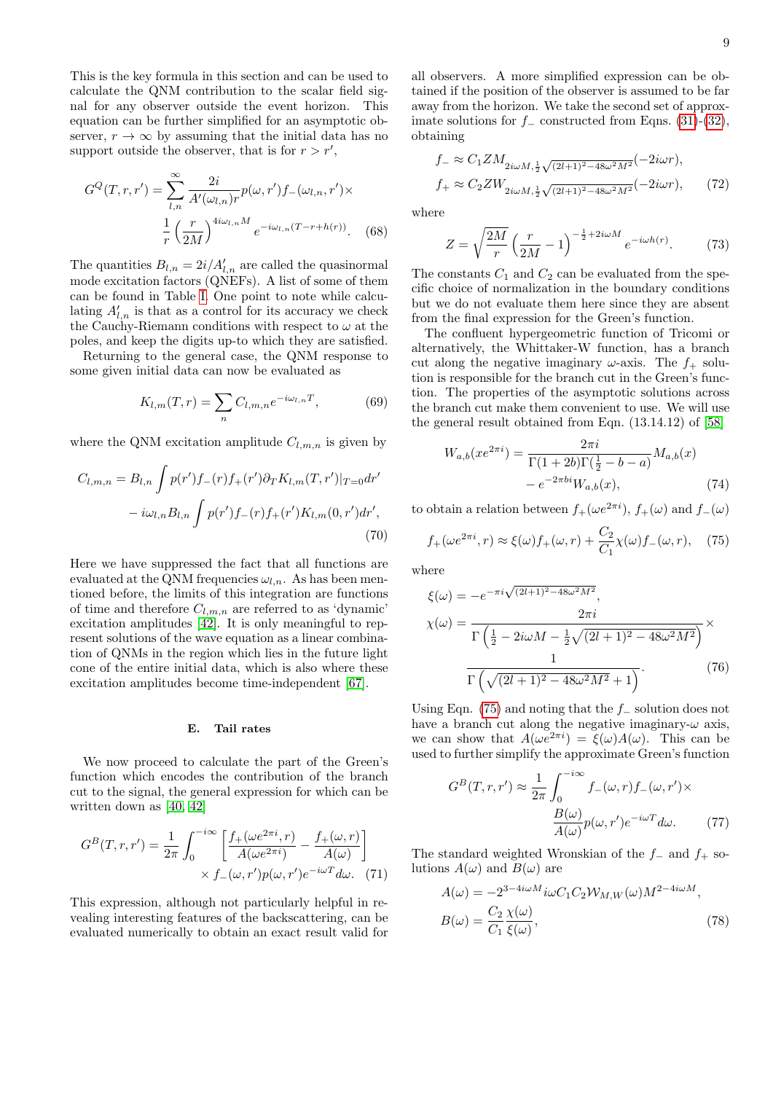This is the key formula in this section and can be used to calculate the QNM contribution to the scalar field signal for any observer outside the event horizon. This equation can be further simplified for an asymptotic observer,  $r \to \infty$  by assuming that the initial data has no support outside the observer, that is for  $r > r'$ ,

$$
G^{Q}(T,r,r') = \sum_{l,n}^{\infty} \frac{2i}{A'(\omega_{l,n})r} p(\omega, r') f_{-}(\omega_{l,n}, r') \times
$$

$$
\frac{1}{r} \left(\frac{r}{2M}\right)^{4i\omega_{l,n}M} e^{-i\omega_{l,n}(T-r+h(r))}. \quad (68)
$$

The quantities  $B_{l,n} = 2i/A'_{l,n}$  are called the quasinormal mode excitation factors (QNEFs). A list of some of them can be found in Table [I.](#page-9-0) One point to note while calculating  $A'_{l,n}$  is that as a control for its accuracy we check the Cauchy-Riemann conditions with respect to  $\omega$  at the poles, and keep the digits up-to which they are satisfied.

Returning to the general case, the QNM response to some given initial data can now be evaluated as

$$
K_{l,m}(T,r) = \sum_{n} C_{l,m,n} e^{-i\omega_{l,n}T},
$$
 (69)

where the QNM excitation amplitude  $C_{l,m,n}$  is given by

$$
C_{l,m,n} = B_{l,n} \int p(r') f_{-}(r) f_{+}(r') \partial_T K_{l,m}(T,r') |_{T=0} dr'
$$

$$
- i \omega_{l,n} B_{l,n} \int p(r') f_{-}(r) f_{+}(r') K_{l,m}(0,r') dr', \tag{70}
$$

Here we have suppressed the fact that all functions are evaluated at the QNM frequencies  $\omega_{l,n}$ . As has been mentioned before, the limits of this integration are functions of time and therefore  $C_{l,m,n}$  are referred to as 'dynamic' excitation amplitudes [\[42\]](#page-23-9). It is only meaningful to represent solutions of the wave equation as a linear combination of QNMs in the region which lies in the future light cone of the entire initial data, which is also where these excitation amplitudes become time-independent [\[67\]](#page-23-27).

# <span id="page-8-0"></span>E. Tail rates

We now proceed to calculate the part of the Green's function which encodes the contribution of the branch cut to the signal, the general expression for which can be written down as [\[40,](#page-23-3) [42\]](#page-23-9)

$$
G^{B}(T,r,r') = \frac{1}{2\pi} \int_0^{-i\infty} \left[ \frac{f_{+}(\omega e^{2\pi i}, r)}{A(\omega e^{2\pi i})} - \frac{f_{+}(\omega, r)}{A(\omega)} \right] \times f_{-}(\omega, r') p(\omega, r') e^{-i\omega T} d\omega.
$$
 (71)

This expression, although not particularly helpful in revealing interesting features of the backscattering, can be evaluated numerically to obtain an exact result valid for all observers. A more simplified expression can be obtained if the position of the observer is assumed to be far away from the horizon. We take the second set of approximate solutions for  $f_$  constructed from Eqns. [\(31\)](#page-4-1)-[\(32\)](#page-4-2), obtaining

$$
f_{-} \approx C_{1} Z M_{2i\omega M, \frac{1}{2}\sqrt{(2l+1)^{2} - 48\omega^{2}M^{2}}}(-2i\omega r),
$$
  

$$
f_{+} \approx C_{2} Z W_{2i\omega M, \frac{1}{2}\sqrt{(2l+1)^{2} - 48\omega^{2}M^{2}}}(-2i\omega r),
$$
 (72)

where

<span id="page-8-2"></span>
$$
Z = \sqrt{\frac{2M}{r}} \left(\frac{r}{2M} - 1\right)^{-\frac{1}{2} + 2i\omega M} e^{-i\omega h(r)}.
$$
 (73)

The constants  $C_1$  and  $C_2$  can be evaluated from the specific choice of normalization in the boundary conditions but we do not evaluate them here since they are absent from the final expression for the Green's function.

<span id="page-8-5"></span>The confluent hypergeometric function of Tricomi or alternatively, the Whittaker-W function, has a branch cut along the negative imaginary  $\omega$ -axis. The  $f_+$  solution is responsible for the branch cut in the Green's function. The properties of the asymptotic solutions across the branch cut make them convenient to use. We will use the general result obtained from Eqn. (13.14.12) of [\[58\]](#page-23-18)

<span id="page-8-1"></span>
$$
W_{a,b}(xe^{2\pi i}) = \frac{2\pi i}{\Gamma(1+2b)\Gamma(\frac{1}{2}-b-a)} M_{a,b}(x)
$$

$$
-e^{-2\pi bi} W_{a,b}(x), \tag{74}
$$

to obtain a relation between  $f_+(\omega e^{2\pi i})$ ,  $f_+(\omega)$  and  $f_-(\omega)$ 

$$
f_+(\omega e^{2\pi i}, r) \approx \xi(\omega)f_+(\omega, r) + \frac{C_2}{C_1}\chi(\omega)f_-(\omega, r), \quad (75)
$$

where

$$
\xi(\omega) = -e^{-\pi i \sqrt{(2l+1)^2 - 48\omega^2 M^2}},
$$
  
\n
$$
\chi(\omega) = \frac{2\pi i}{\Gamma(\frac{1}{2} - 2i\omega M - \frac{1}{2}\sqrt{(2l+1)^2 - 48\omega^2 M^2})} \times
$$
  
\n
$$
\frac{1}{\Gamma(\sqrt{(2l+1)^2 - 48\omega^2 M^2} + 1)}.
$$
\n(76)

Using Eqn. [\(75\)](#page-8-1) and noting that the  $f_$  solution does not have a branch cut along the negative imaginary- $\omega$  axis, we can show that  $A(\omega e^{2\pi i}) = \xi(\omega)A(\omega)$ . This can be used to further simplify the approximate Green's function

<span id="page-8-4"></span><span id="page-8-3"></span>
$$
G^{B}(T,r,r') \approx \frac{1}{2\pi} \int_{0}^{-i\infty} f_{-}(\omega,r) f_{-}(\omega,r') \times
$$

$$
\frac{B(\omega)}{A(\omega)} p(\omega,r') e^{-i\omega T} d\omega.
$$
(77)

The standard weighted Wronskian of the  $f_-\,$  and  $f_+\,$  solutions  $A(\omega)$  and  $B(\omega)$  are

$$
A(\omega) = -2^{3-4i\omega M} i\omega C_1 C_2 W_{M,W}(\omega) M^{2-4i\omega M},
$$
  
\n
$$
B(\omega) = \frac{C_2}{C_1} \frac{\chi(\omega)}{\xi(\omega)},
$$
\n(78)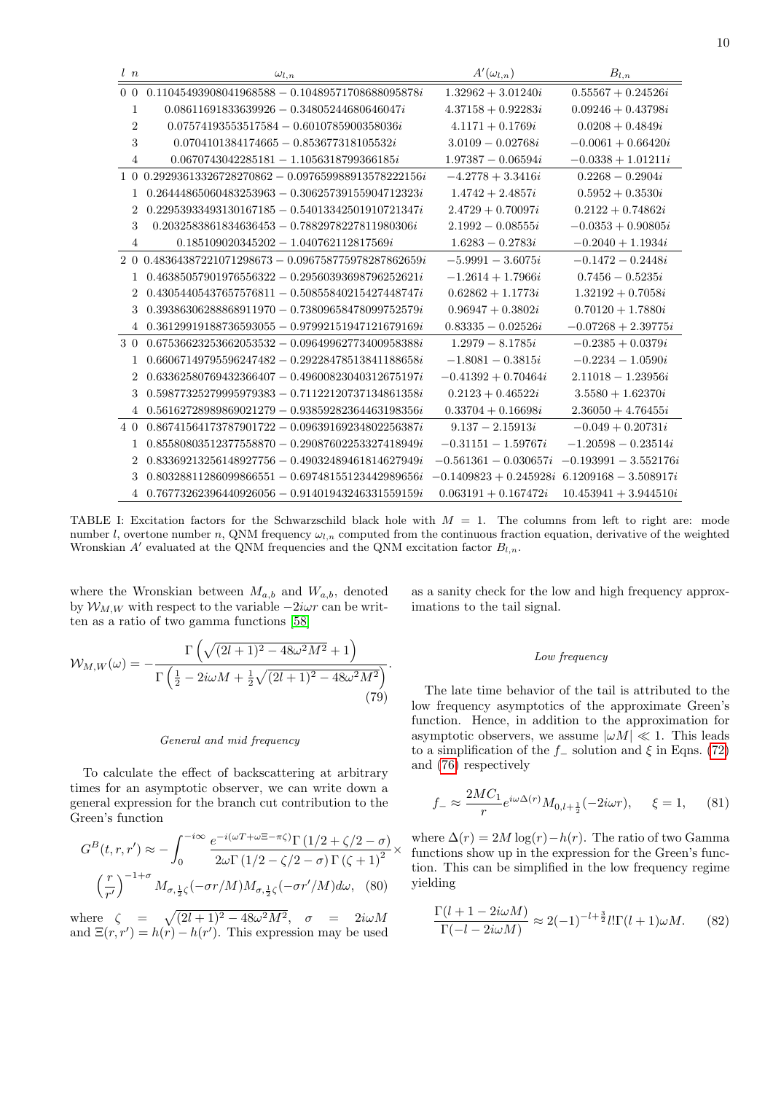| l n            | $\omega_{l,n}$                                            | $A'(\omega_{l,n})$                             | $B_{l,n}$               |
|----------------|-----------------------------------------------------------|------------------------------------------------|-------------------------|
| 0 <sub>0</sub> | $0.11045493908041968588 - 0.10489571708688095878i$        | $1.32962 + 3.01240i$                           | $0.55567 + 0.24526i$    |
| $\mathbf{1}$   | $0.08611691833639926 - 0.34805244680646047i$              | $4.37158 + 0.92283i$                           | $0.09246 + 0.43798i$    |
| $\overline{2}$ | $0.07574193553517584 - 0.6010785900358036i$               | $4.1171 + 0.1769i$                             | $0.0208 + 0.4849i$      |
| 3              | $0.0704101384174665 - 0.853677318105532i$                 | $3.0109 - 0.02768i$                            | $-0.0061 + 0.66420i$    |
| $\overline{4}$ | $0.0670743042285181 - 1.1056318799366185i$                | $1.97387 - 0.06594i$                           | $-0.0338 + 1.01211i$    |
|                | $1\,0\,0.29293613326728270862 - 0.097659988913578222156i$ | $-4.2778 + 3.3416i$                            | $0.2268 - 0.2904i$      |
| $\mathbf{1}$   | $0.26444865060483253963 - 0.30625739155904712323i$        | $1.4742 + 2.4857i$                             | $0.5952 + 0.3530i$      |
| $\overline{2}$ | $0.22953933493130167185 - 0.54013342501910721347i$        | $2.4729 + 0.70097i$                            | $0.2122 + 0.74862i$     |
| 3              | $0.2032583861834636453 - 0.7882978227811980306i$          | $2.1992 - 0.08555i$                            | $-0.0353 + 0.90805i$    |
| 4              | $0.185109020345202 - 1.040762112817569i$                  | $1.6283 - 0.2783i$                             | $-0.2040 + 1.1934i$     |
|                | 2 0 0.48364387221071298673 - 0.096758775978287862659i     | $-5.9991 - 3.6075i$                            | $-0.1472 - 0.2448i$     |
|                | $0.46385057901976556322 - 0.29560393698796252621i$        | $-1.2614 + 1.7966i$                            | $0.7456 - 0.5235i$      |
| $\overline{2}$ | $0.43054405437657576811 - 0.50855840215427448747i$        | $0.62862 + 1.1773i$                            | $1.32192 + 0.7058i$     |
| 3              | $0.39386306288868911970 - 0.73809658478099752579i$        | $0.96947 + 0.3802i$                            | $0.70120 + 1.7880i$     |
| $\overline{4}$ | $0.36129919188736593055 - 0.97992151947121679169i$        | $0.83335 - 0.02526i$                           | $-0.07268 + 2.39775i$   |
| 30             | $0.67536623253662053532 - 0.09649962773400958388i$        | $1.2979 - 8.1785i$                             | $-0.2385 + 0.0379i$     |
| 1              | $0.66067149795596247482 - 0.29228478513841188658i$        | $-1.8081 - 0.3815i$                            | $-0.2234 - 1.0590i$     |
| $\overline{2}$ | $0.63362580769432366407 - 0.49600823040312675197i$        | $-0.41392 + 0.70464i$                          | $2.11018 - 1.23956i$    |
| 3              | $0.59877325279995979383 - 0.71122120737134861358i$        | $0.2123 + 0.46522i$                            | $3.5580 + 1.62370i$     |
|                | $4\quad 0.56162728989869021279 - 0.93859282364463198356i$ | $0.33704 + 0.16698i$                           | $2.36050 + 4.76455i$    |
| 40             | $0.86741564173787901722 - 0.09639169234802256387i$        | $9.137 - 2.15913i$                             | $-0.049 + 0.20731i$     |
| $\mathbf{1}$   | $0.85580803512377558870 - 0.29087602253327418949i$        | $-0.31151 - 1.59767i$                          | $-1.20598 - 0.23514i$   |
| $\overline{2}$ | $0.83369213256148927756 - 0.49032489461814627949i$        | $-0.561361 - 0.030657i$                        | $-0.193991 - 3.552176i$ |
| 3              | $0.80328811286099866551 - 0.69748155123442989656i$        | $-0.1409823 + 0.245928i$ 6.1209168 - 3.508917i |                         |
|                | $40.76773262396440926056 - 0.91401943246331559159i$       | $0.063191 + 0.167472i$                         | $10.453941 + 3.944510i$ |

<span id="page-9-0"></span>TABLE I: Excitation factors for the Schwarzschild black hole with  $M = 1$ . The columns from left to right are: mode number l, overtone number n, QNM frequency  $\omega_{l,n}$  computed from the continuous fraction equation, derivative of the weighted Wronskian  $A'$  evaluated at the QNM frequencies and the QNM excitation factor  $B_{l,n}$ .

where the Wronskian between  $M_{a,b}$  and  $W_{a,b}$ , denoted by  $W_{M,W}$  with respect to the variable  $-2i\omega r$  can be written as a ratio of two gamma functions [\[58\]](#page-23-18)

 $\mathcal{W}_{M,W}(\omega) = \Gamma\left(\sqrt{(2l+1)^2-48\omega^2M^2}+1\right)$  $\frac{1}{\Gamma\left(\frac{1}{2}-2i\omega M+\frac{1}{2}\sqrt{(2l+1)^2-48\omega^2M^2}\right)}.$ (79)

# General and mid frequency

To calculate the effect of backscattering at arbitrary times for an asymptotic observer, we can write down a general expression for the branch cut contribution to the Green's function

$$
G^{B}(t,r,r') \approx -\int_{0}^{-i\infty} \frac{e^{-i(\omega T + \omega \Xi - \pi \zeta)} \Gamma(1/2 + \zeta/2 - \sigma)}{2\omega \Gamma(1/2 - \zeta/2 - \sigma) \Gamma(\zeta + 1)^{2}} \times \left(\frac{r}{r'}\right)^{-1+\sigma} M_{\sigma, \frac{1}{2}\zeta}(-\sigma r/M) M_{\sigma, \frac{1}{2}\zeta}(-\sigma r'/M) d\omega, \quad (80)
$$

where  $\zeta = \sqrt{(2l + 1)^2 - 48\omega^2 M^2}$ ,  $\sigma = 2i\omega M$ and  $\Xi(r,r') = h(r) - h(r')$ . This expression may be used as a sanity check for the low and high frequency approximations to the tail signal.

### Low frequency

The late time behavior of the tail is attributed to the low frequency asymptotics of the approximate Green's function. Hence, in addition to the approximation for asymptotic observers, we assume  $|\omega M| \ll 1$ . This leads to a simplification of the  $f_$  solution and  $\xi$  in Eqns. [\(72\)](#page-8-2) and [\(76\)](#page-8-3) respectively

$$
f_{-} \approx \frac{2MC_1}{r} e^{i\omega \Delta(r)} M_{0,l+\frac{1}{2}}(-2i\omega r), \quad \xi = 1, \quad (81)
$$

where  $\Delta(r) = 2M \log(r) - h(r)$ . The ratio of two Gamma functions show up in the expression for the Green's function. This can be simplified in the low frequency regime yielding

$$
\frac{\Gamma(l+1-2i\omega M)}{\Gamma(-l-2i\omega M)} \approx 2(-1)^{-l+\frac{3}{2}} l! \Gamma(l+1)\omega M. \tag{82}
$$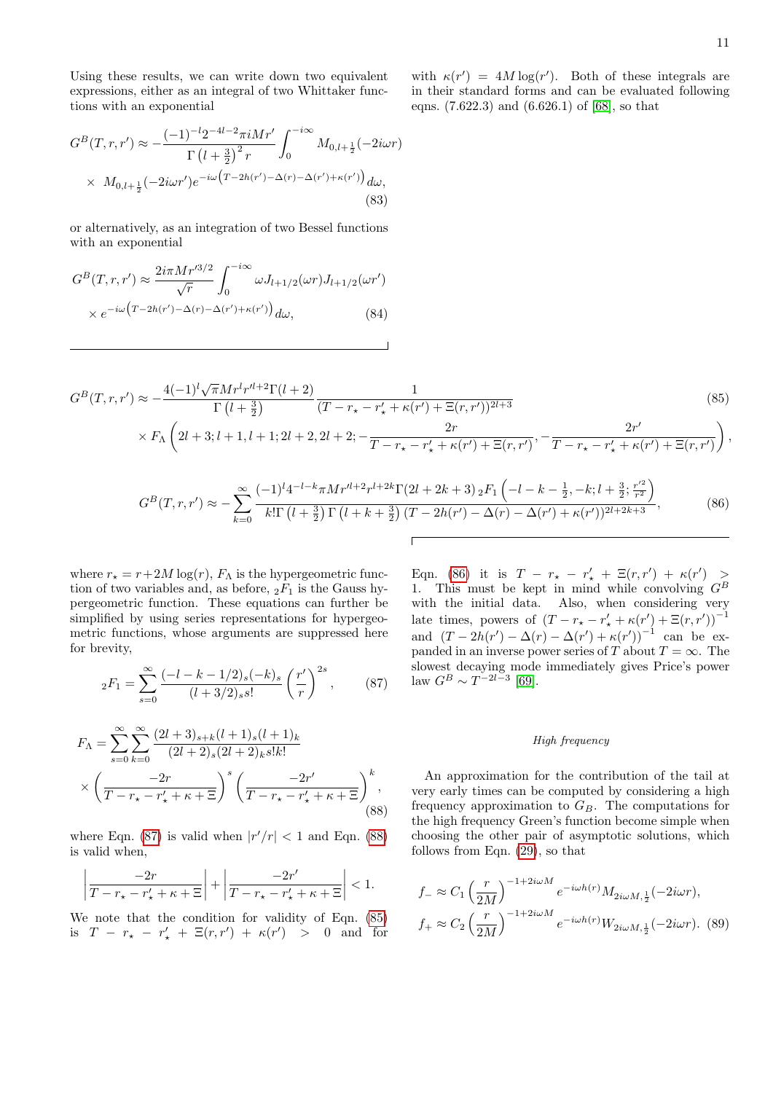Using these results, we can write down two equivalent expressions, either as an integral of two Whittaker functions with an exponential

with  $\kappa(r') = 4M \log(r')$ . Both of these integrals are in their standard forms and can be evaluated following eqns. (7.622.3) and (6.626.1) of [\[68\]](#page-24-0), so that

$$
G^{B}(T,r,r') \approx -\frac{(-1)^{-l}2^{-4l-2}\pi iMr'}{\Gamma(l+\frac{3}{2})^{2}r} \int_{0}^{-i\infty} M_{0,l+\frac{1}{2}}(-2i\omega r)
$$
  
 
$$
\times M_{0,l+\frac{1}{2}}(-2i\omega r')e^{-i\omega(T-2h(r')-\Delta(r)-\Delta(r')+\kappa(r'))}d\omega,
$$
 (83)

or alternatively, as an integration of two Bessel functions with an exponential

$$
G^{B}(T,r,r') \approx \frac{2i\pi Mr'^{3/2}}{\sqrt{r}} \int_{0}^{-i\infty} \omega J_{l+1/2}(\omega r) J_{l+1/2}(\omega r')
$$
  
 
$$
\times e^{-i\omega \left( T - 2h(r') - \Delta(r) - \Delta(r') + \kappa(r') \right)} d\omega,
$$
 (84)

$$
G^{B}(T,r,r') \approx -\frac{4(-1)^{l}\sqrt{\pi}Mr^{l}r^{l+2}\Gamma(l+2)}{\Gamma(l+\frac{3}{2})}\frac{1}{(T-r_{\star}-r_{\star}'+\kappa(r')+\Xi(r,r'))^{2l+3}}\n\times F_{\Lambda}\left(2l+3;l+1,l+1;2l+2,2l+2;-\frac{2r}{T-r_{\star}-r_{\star}'+\kappa(r')+\Xi(r,r')},-\frac{2r'}{T-r_{\star}-r_{\star}'+\kappa(r')+\Xi(r,r')}\right),
$$
\n(85)

$$
G^{B}(T,r,r') \approx -\sum_{k=0}^{\infty} \frac{(-1)^{l} 4^{-l-k} \pi M r^{l+2} r^{l+2k} \Gamma(2l+2k+3) {}_{2}F_{1}\left(-l-k-\frac{1}{2},-k;l+\frac{3}{2};\frac{r'^{2}}{r^{2}}\right)}{k! \Gamma(l+\frac{3}{2}) \Gamma(l+k+\frac{3}{2}) \left(T-2h(r')-\Delta(r)-\Delta(r')+\kappa(r')\right)^{2l+2k+3}},
$$
(86)

where  $r_{\star} = r + 2M \log(r)$ ,  $F_{\Lambda}$  is the hypergeometric function of two variables and, as before,  ${}_2F_1$  is the Gauss hypergeometric function. These equations can further be simplified by using series representations for hypergeometric functions, whose arguments are suppressed here for brevity,

$$
{}_2F_1 = \sum_{s=0}^{\infty} \frac{(-l - k - 1/2)_s (-k)_s}{(l + 3/2)_s s!} \left(\frac{r'}{r}\right)^{2s},\qquad(87)
$$

$$
F_{\Lambda} = \sum_{s=0}^{\infty} \sum_{k=0}^{\infty} \frac{(2l+3)_{s+k}(l+1)_s (l+1)_k}{(2l+2)_s (2l+2)_k s! k!} \times \left(\frac{-2r}{T - r_{\star} - r_{\star}' + \kappa + \Xi}\right)^s \left(\frac{-2r'}{T - r_{\star} - r_{\star}' + \kappa + \Xi}\right)^k,
$$
\n(88)

where Eqn. [\(87\)](#page-10-0) is valid when  $|r'/r| < 1$  and Eqn. [\(88\)](#page-10-1) is valid when,

$$
\left|\frac{-2r}{T-r_{\star}-r_{\star}'+\kappa+\Xi}\right|+\left|\frac{-2r'}{T-r_{\star}-r_{\star}'+\kappa+\Xi}\right|<1.
$$

We note that the condition for validity of Eqn. [\(85\)](#page-10-2) is  $T - r_{\star} - r'_{\star} + \Xi(r, r') + \kappa(r') > 0$  and for

<span id="page-10-2"></span><span id="page-10-0"></span>Eqn. [\(86\)](#page-10-3) it is  $T - r_{\star} - r'_{\star} + \Xi(r, r') + \kappa(r') >$ 1. This must be kept in mind while convolving  $G^B$ with the initial data. Also, when considering very late times, powers of  $(T - r_{\star} - r'_{\star} + \kappa(r') + \Xi(r,r'))^{-1}$ and  $(T - 2h(r') - \Delta(r) - \Delta(r') + \kappa(r'))^{-1}$  can be expanded in an inverse power series of T about  $T = \infty$ . The slowest decaying mode immediately gives Price's power law  $G^B \sim T^{-2l-3}$  [\[69\]](#page-24-1).

### <span id="page-10-4"></span><span id="page-10-3"></span>High frequency

<span id="page-10-1"></span>An approximation for the contribution of the tail at very early times can be computed by considering a high frequency approximation to  $G_B$ . The computations for the high frequency Green's function become simple when choosing the other pair of asymptotic solutions, which follows from Eqn. [\(29\)](#page-4-0), so that

$$
f_{-} \approx C_{1} \left(\frac{r}{2M}\right)^{-1+2i\omega M} e^{-i\omega h(r)} M_{2i\omega M, \frac{1}{2}}(-2i\omega r),
$$
  

$$
f_{+} \approx C_{2} \left(\frac{r}{2M}\right)^{-1+2i\omega M} e^{-i\omega h(r)} W_{2i\omega M, \frac{1}{2}}(-2i\omega r). \tag{89}
$$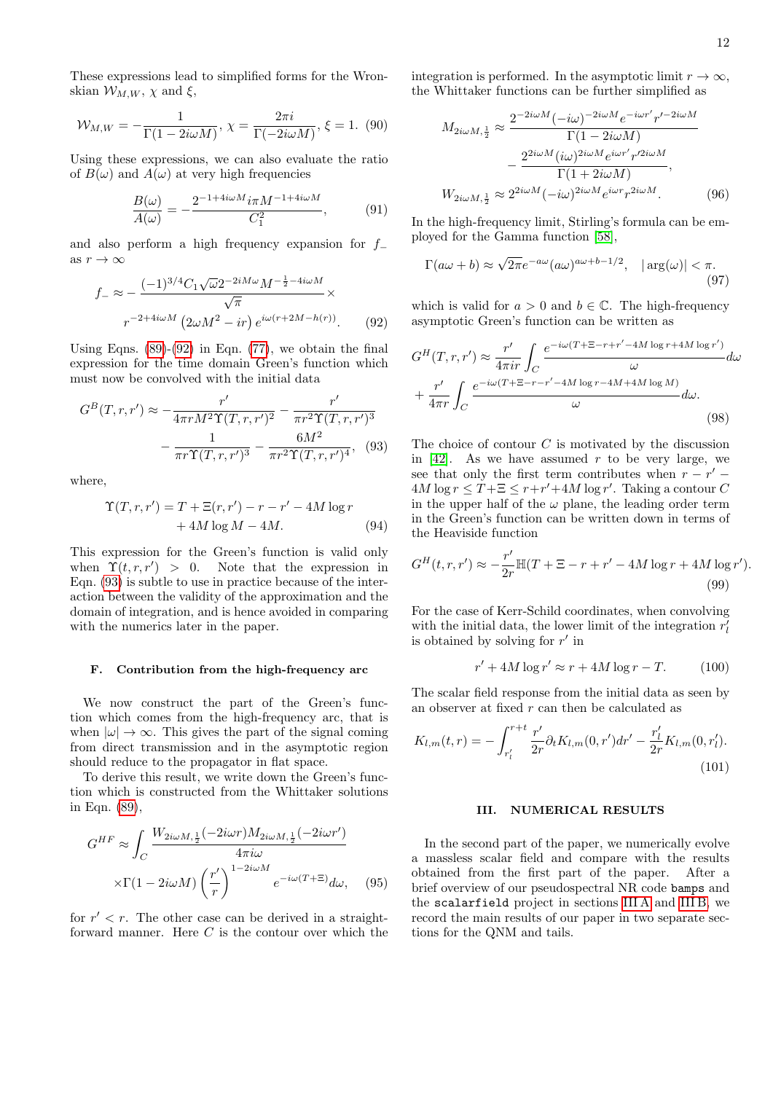These expressions lead to simplified forms for the Wronskian  $\mathcal{W}_{M,W}$ ,  $\chi$  and  $\xi$ ,

$$
\mathcal{W}_{M,W} = -\frac{1}{\Gamma(1 - 2i\omega M)}, \ \chi = \frac{2\pi i}{\Gamma(-2i\omega M)}, \ \xi = 1. \tag{90}
$$

Using these expressions, we can also evaluate the ratio of  $B(\omega)$  and  $A(\omega)$  at very high frequencies

$$
\frac{B(\omega)}{A(\omega)} = -\frac{2^{-1+4i\omega M}i\pi M^{-1+4i\omega M}}{C_1^2},\tag{91}
$$

and also perform a high frequency expansion for  $f_$ as  $r \to \infty$ 

$$
f_{-} \approx -\frac{(-1)^{3/4}C_1\sqrt{\omega}2^{-2iM\omega}M^{-\frac{1}{2}-4i\omega M}}{\sqrt{\pi}} \times r^{-2+4i\omega M} \left(2\omega M^2 - ir\right)e^{i\omega(r+2M-h(r))}.\tag{92}
$$

Using Eqns.  $(89)-(92)$  $(89)-(92)$  in Eqn.  $(77)$ , we obtain the final expression for the time domain Green's function which must now be convolved with the initial data

$$
G^{B}(T,r,r') \approx -\frac{r'}{4\pi r M^{2} \Upsilon(T,r,r')^{2}} - \frac{r'}{\pi r^{2} \Upsilon(T,r,r')^{3}} - \frac{1}{\pi r \Upsilon(T,r,r')^{3}} - \frac{6M^{2}}{\pi r^{2} \Upsilon(T,r,r')^{4}},
$$
(93)

where,

$$
\Upsilon(T, r, r') = T + \Xi(r, r') - r - r' - 4M \log r
$$
  
+ 4M \log M - 4M. (94)

This expression for the Green's function is valid only when  $\Upsilon(t, r, r') > 0$ . Note that the expression in Eqn. [\(93\)](#page-11-2) is subtle to use in practice because of the interaction between the validity of the approximation and the domain of integration, and is hence avoided in comparing with the numerics later in the paper.

### <span id="page-11-0"></span>F. Contribution from the high-frequency arc

We now construct the part of the Green's function which comes from the high-frequency arc, that is when  $|\omega| \to \infty$ . This gives the part of the signal coming from direct transmission and in the asymptotic region should reduce to the propagator in flat space.

To derive this result, we write down the Green's function which is constructed from the Whittaker solutions in Eqn. [\(89\)](#page-10-4),

$$
G^{HF} \approx \int_C \frac{W_{2i\omega M, \frac{1}{2}}(-2i\omega r)M_{2i\omega M, \frac{1}{2}}(-2i\omega r')}{4\pi i\omega} \times \Gamma(1 - 2i\omega M) \left(\frac{r'}{r}\right)^{1 - 2i\omega M} e^{-i\omega(T + \Xi)} d\omega, \quad (95)
$$

for  $r' < r$ . The other case can be derived in a straightforward manner. Here  $C$  is the contour over which the integration is performed. In the asymptotic limit  $r \to \infty$ , the Whittaker functions can be further simplified as

$$
M_{2i\omega M, \frac{1}{2}} \approx \frac{2^{-2i\omega M} (-i\omega)^{-2i\omega M} e^{-i\omega r' r'^{-2i\omega M}}}{\Gamma(1 - 2i\omega M)}
$$

$$
- \frac{2^{2i\omega M} (i\omega)^{2i\omega M} e^{i\omega r' r'^{2i\omega M}}}{\Gamma(1 + 2i\omega M)},
$$

$$
W_{2i\omega M, \frac{1}{2}} \approx 2^{2i\omega M} (-i\omega)^{2i\omega M} e^{i\omega r} r^{2i\omega M}. \tag{96}
$$

In the high-frequency limit, Stirling's formula can be employed for the Gamma function [\[58\]](#page-23-18),

$$
\Gamma(a\omega + b) \approx \sqrt{2\pi}e^{-a\omega}(a\omega)^{a\omega + b - 1/2}, \quad |\arg(\omega)| < \pi. \tag{97}
$$

<span id="page-11-1"></span>which is valid for  $a > 0$  and  $b \in \mathbb{C}$ . The high-frequency asymptotic Green's function can be written as

$$
G^{H}(T,r,r') \approx \frac{r'}{4\pi ir} \int_{C} \frac{e^{-i\omega(T+\Xi-r+r'-4M\log r+4M\log r')}}{\omega} d\omega
$$

$$
+ \frac{r'}{4\pi r} \int_{C} \frac{e^{-i\omega(T+\Xi-r-r'-4M\log r-4M+4M\log M)}}{\omega} d\omega.
$$
(98)

<span id="page-11-2"></span>The choice of contour  $C$  is motivated by the discussion in [\[42\]](#page-23-9). As we have assumed  $r$  to be very large, we see that only the first term contributes when  $r - r' =$  $4M \log r \leq T + \Xi \leq r + r' + 4M \log r'$ . Taking a contour C in the upper half of the  $\omega$  plane, the leading order term in the Green's function can be written down in terms of the Heaviside function

$$
G^{H}(t, r, r') \approx -\frac{r'}{2r} \mathbb{H}(T + \Xi - r + r' - 4M \log r + 4M \log r').
$$
\n(99)

For the case of Kerr-Schild coordinates, when convolving with the initial data, the lower limit of the integration  $r^{\prime}_l$ is obtained by solving for  $r'$  in

$$
r' + 4M \log r' \approx r + 4M \log r - T.
$$
 (100)

The scalar field response from the initial data as seen by an observer at fixed  $r$  can then be calculated as

$$
K_{l,m}(t,r) = -\int_{r'_l}^{r+t} \frac{r'}{2r} \partial_t K_{l,m}(0,r') dr' - \frac{r'_l}{2r} K_{l,m}(0,r'_l).
$$
\n(101)

# III. NUMERICAL RESULTS

In the second part of the paper, we numerically evolve a massless scalar field and compare with the results obtained from the first part of the paper. After a brief overview of our pseudospectral NR code bamps and the scalarfield project in sections [III A](#page-12-0) and [III B,](#page-12-1) we record the main results of our paper in two separate sections for the QNM and tails.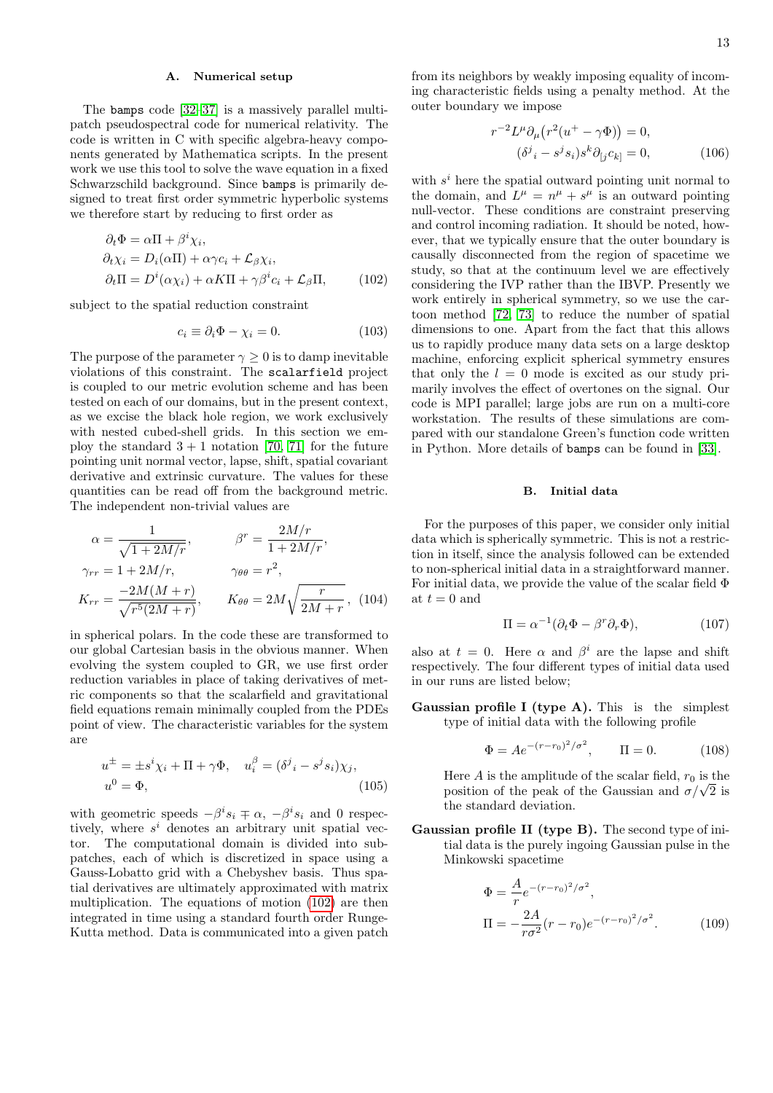# <span id="page-12-0"></span>A. Numerical setup

The bamps code [\[32–](#page-23-0)[37\]](#page-23-28) is a massively parallel multipatch pseudospectral code for numerical relativity. The code is written in C with specific algebra-heavy components generated by Mathematica scripts. In the present work we use this tool to solve the wave equation in a fixed Schwarzschild background. Since bamps is primarily designed to treat first order symmetric hyperbolic systems we therefore start by reducing to first order as

$$
\partial_t \Phi = \alpha \Pi + \beta^i \chi_i,
$$
  
\n
$$
\partial_t \chi_i = D_i(\alpha \Pi) + \alpha \gamma c_i + \mathcal{L}_{\beta} \chi_i,
$$
  
\n
$$
\partial_t \Pi = D^i(\alpha \chi_i) + \alpha K \Pi + \gamma \beta^i c_i + \mathcal{L}_{\beta} \Pi,
$$
\n(102)

subject to the spatial reduction constraint

$$
c_i \equiv \partial_i \Phi - \chi_i = 0. \tag{103}
$$

The purpose of the parameter  $\gamma \geq 0$  is to damp inevitable violations of this constraint. The scalarfield project is coupled to our metric evolution scheme and has been tested on each of our domains, but in the present context, as we excise the black hole region, we work exclusively with nested cubed-shell grids. In this section we employ the standard  $3 + 1$  notation [\[70,](#page-24-2) [71\]](#page-24-3) for the future pointing unit normal vector, lapse, shift, spatial covariant derivative and extrinsic curvature. The values for these quantities can be read off from the background metric. The independent non-trivial values are

$$
\alpha = \frac{1}{\sqrt{1 + 2M/r}}, \qquad \beta^r = \frac{2M/r}{1 + 2M/r},
$$
  

$$
\gamma_{rr} = 1 + 2M/r, \qquad \gamma_{\theta\theta} = r^2,
$$
  

$$
K_{rr} = \frac{-2M(M+r)}{\sqrt{r^5(2M+r)}}, \qquad K_{\theta\theta} = 2M\sqrt{\frac{r}{2M+r}}, \quad (104)
$$

in spherical polars. In the code these are transformed to our global Cartesian basis in the obvious manner. When evolving the system coupled to GR, we use first order reduction variables in place of taking derivatives of metric components so that the scalarfield and gravitational field equations remain minimally coupled from the PDEs point of view. The characteristic variables for the system are

$$
u^{\pm} = \pm s^i \chi_i + \Pi + \gamma \Phi, \quad u_i^{\beta} = (\delta^j{}_i - s^j s_i) \chi_j,
$$
  

$$
u^0 = \Phi,
$$
 (105)

with geometric speeds  $-\beta^{i}s_i \mp \alpha$ ,  $-\beta^{i}s_i$  and 0 respectively, where  $s^i$  denotes an arbitrary unit spatial vector. The computational domain is divided into subpatches, each of which is discretized in space using a Gauss-Lobatto grid with a Chebyshev basis. Thus spatial derivatives are ultimately approximated with matrix multiplication. The equations of motion [\(102\)](#page-12-2) are then integrated in time using a standard fourth order Runge-Kutta method. Data is communicated into a given patch

from its neighbors by weakly imposing equality of incoming characteristic fields using a penalty method. At the outer boundary we impose

$$
r^{-2}L^{\mu}\partial_{\mu}\left(r^{2}(u^{+}-\gamma\Phi)\right) = 0,
$$
  

$$
(\delta^{j}{}_{i} - s^{j}s_{i})s^{k}\partial_{[j}c_{k]} = 0,
$$
 (106)

<span id="page-12-2"></span>with  $s^i$  here the spatial outward pointing unit normal to the domain, and  $L^{\mu} = n^{\mu} + s^{\mu}$  is an outward pointing null-vector. These conditions are constraint preserving and control incoming radiation. It should be noted, however, that we typically ensure that the outer boundary is causally disconnected from the region of spacetime we study, so that at the continuum level we are effectively considering the IVP rather than the IBVP. Presently we work entirely in spherical symmetry, so we use the cartoon method [\[72,](#page-24-4) [73\]](#page-24-5) to reduce the number of spatial dimensions to one. Apart from the fact that this allows us to rapidly produce many data sets on a large desktop machine, enforcing explicit spherical symmetry ensures that only the  $l = 0$  mode is excited as our study primarily involves the effect of overtones on the signal. Our code is MPI parallel; large jobs are run on a multi-core workstation. The results of these simulations are compared with our standalone Green's function code written in Python. More details of bamps can be found in [\[33\]](#page-23-29).

# <span id="page-12-1"></span>B. Initial data

For the purposes of this paper, we consider only initial data which is spherically symmetric. This is not a restriction in itself, since the analysis followed can be extended to non-spherical initial data in a straightforward manner. For initial data, we provide the value of the scalar field Φ at  $t = 0$  and

$$
\Pi = \alpha^{-1} (\partial_t \Phi - \beta^r \partial_r \Phi), \tag{107}
$$

also at  $t = 0$ . Here  $\alpha$  and  $\beta^{i}$  are the lapse and shift respectively. The four different types of initial data used in our runs are listed below;

Gaussian profile I (type A). This is the simplest type of initial data with the following profile

$$
\Phi = Ae^{-(r-r_0)^2/\sigma^2}, \qquad \Pi = 0. \tag{108}
$$

Here A is the amplitude of the scalar field,  $r_0$  is the position of the peak of the Gaussian and  $\sigma/\sqrt{2}$  is the standard deviation.

Gaussian profile II (type B). The second type of initial data is the purely ingoing Gaussian pulse in the Minkowski spacetime

$$
\Phi = \frac{A}{r} e^{-(r-r_0)^2/\sigma^2},
$$
\n
$$
\Pi = -\frac{2A}{r\sigma^2} (r - r_0) e^{-(r-r_0)^2/\sigma^2}.
$$
\n(109)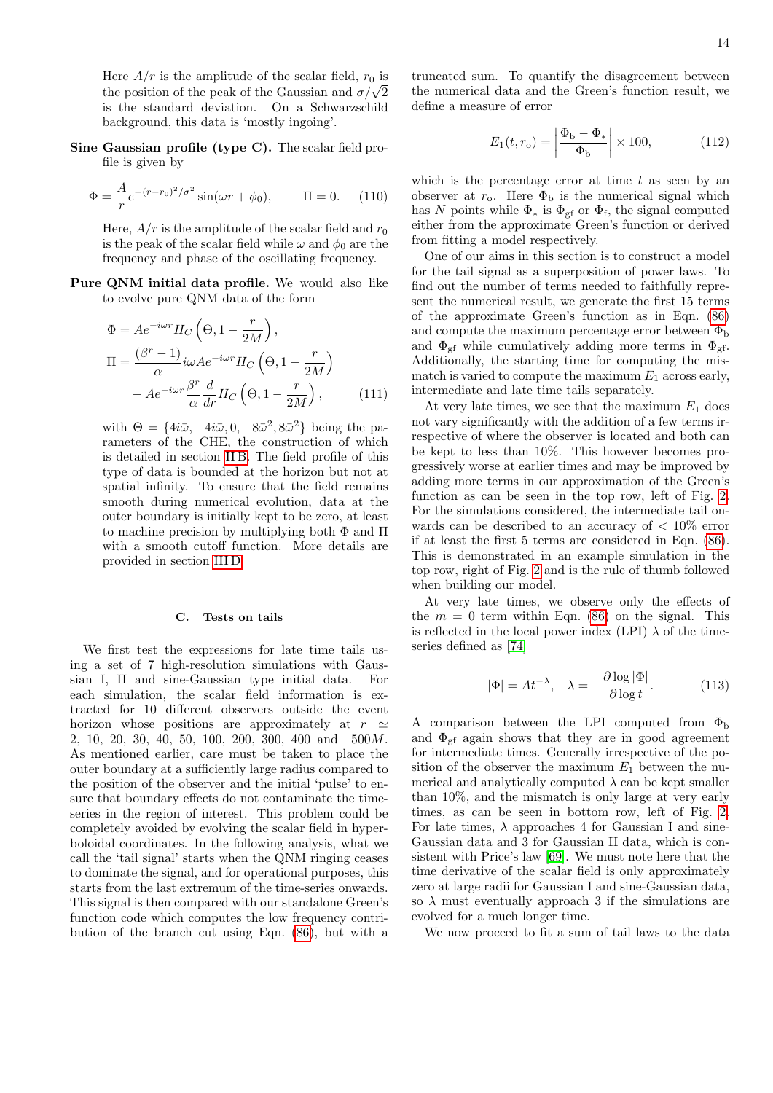Here  $A/r$  is the amplitude of the scalar field,  $r_0$  is the position of the peak of the Gaussian and  $\sigma/\sqrt{2}$ is the standard deviation. On a Schwarzschild background, this data is 'mostly ingoing'.

Sine Gaussian profile (type C). The scalar field profile is given by

$$
\Phi = \frac{A}{r} e^{-(r-r_0)^2/\sigma^2} \sin(\omega r + \phi_0), \qquad \Pi = 0. \tag{110}
$$

Here,  $A/r$  is the amplitude of the scalar field and  $r_0$ is the peak of the scalar field while  $\omega$  and  $\phi_0$  are the frequency and phase of the oscillating frequency.

Pure QNM initial data profile. We would also like to evolve pure QNM data of the form

$$
\Phi = Ae^{-i\omega r} H_C \left( \Theta, 1 - \frac{r}{2M} \right),
$$
  
\n
$$
\Pi = \frac{(\beta^r - 1)}{\alpha} i\omega A e^{-i\omega r} H_C \left( \Theta, 1 - \frac{r}{2M} \right)
$$
  
\n
$$
- A e^{-i\omega r} \frac{\beta^r}{\alpha} \frac{d}{dr} H_C \left( \Theta, 1 - \frac{r}{2M} \right),
$$
\n(111)

with  $\Theta = \{4i\bar{\omega}, -4i\bar{\omega}, 0, -8\bar{\omega}^2, 8\bar{\omega}^2\}$  being the parameters of the CHE, the construction of which is detailed in section [II B.](#page-5-0) The field profile of this type of data is bounded at the horizon but not at spatial infinity. To ensure that the field remains smooth during numerical evolution, data at the outer boundary is initially kept to be zero, at least to machine precision by multiplying both Φ and Π with a smooth cutoff function. More details are provided in section [III D.](#page-15-0)

# <span id="page-13-0"></span>C. Tests on tails

We first test the expressions for late time tails using a set of 7 high-resolution simulations with Gaussian I, II and sine-Gaussian type initial data. For each simulation, the scalar field information is extracted for 10 different observers outside the event horizon whose positions are approximately at  $r \simeq$ 2, 10, 20, 30, 40, 50, 100, 200, 300, 400 and 500M. As mentioned earlier, care must be taken to place the outer boundary at a sufficiently large radius compared to the position of the observer and the initial 'pulse' to ensure that boundary effects do not contaminate the timeseries in the region of interest. This problem could be completely avoided by evolving the scalar field in hyperboloidal coordinates. In the following analysis, what we call the 'tail signal' starts when the QNM ringing ceases to dominate the signal, and for operational purposes, this starts from the last extremum of the time-series onwards. This signal is then compared with our standalone Green's function code which computes the low frequency contribution of the branch cut using Eqn.  $(86)$ , but with a truncated sum. To quantify the disagreement between the numerical data and the Green's function result, we define a measure of error

$$
E_1(t, r_o) = \left| \frac{\Phi_b - \Phi_*}{\Phi_b} \right| \times 100,\tag{112}
$$

which is the percentage error at time  $t$  as seen by an observer at  $r_o$ . Here  $\Phi_b$  is the numerical signal which has N points while  $\Phi_*$  is  $\Phi_{\text{gf}}$  or  $\Phi_{\text{f}}$ , the signal computed either from the approximate Green's function or derived from fitting a model respectively.

One of our aims in this section is to construct a model for the tail signal as a superposition of power laws. To find out the number of terms needed to faithfully represent the numerical result, we generate the first 15 terms of the approximate Green's function as in Eqn. [\(86\)](#page-10-3) and compute the maximum percentage error between  $\Phi_{\rm b}$ and  $\Phi_{gf}$  while cumulatively adding more terms in  $\Phi_{gf}$ . Additionally, the starting time for computing the mismatch is varied to compute the maximum  $E_1$  across early, intermediate and late time tails separately.

At very late times, we see that the maximum  $E_1$  does not vary significantly with the addition of a few terms irrespective of where the observer is located and both can be kept to less than 10%. This however becomes progressively worse at earlier times and may be improved by adding more terms in our approximation of the Green's function as can be seen in the top row, left of Fig. [2.](#page-14-0) For the simulations considered, the intermediate tail onwards can be described to an accuracy of  $\langle 10\% \rangle$  error if at least the first 5 terms are considered in Eqn. [\(86\)](#page-10-3). This is demonstrated in an example simulation in the top row, right of Fig. [2](#page-14-0) and is the rule of thumb followed when building our model.

At very late times, we observe only the effects of the  $m = 0$  term within Eqn. [\(86\)](#page-10-3) on the signal. This is reflected in the local power index (LPI)  $\lambda$  of the timeseries defined as [\[74\]](#page-24-6)

$$
|\Phi| = At^{-\lambda}, \quad \lambda = -\frac{\partial \log|\Phi|}{\partial \log t}.
$$
 (113)

A comparison between the LPI computed from  $\Phi_{\rm b}$ and  $\Phi_{\text{eff}}$  again shows that they are in good agreement for intermediate times. Generally irrespective of the position of the observer the maximum  $E_1$  between the numerical and analytically computed  $\lambda$  can be kept smaller than 10%, and the mismatch is only large at very early times, as can be seen in bottom row, left of Fig. [2.](#page-14-0) For late times,  $\lambda$  approaches 4 for Gaussian I and sine-Gaussian data and 3 for Gaussian II data, which is consistent with Price's law [\[69\]](#page-24-1). We must note here that the time derivative of the scalar field is only approximately zero at large radii for Gaussian I and sine-Gaussian data, so  $\lambda$  must eventually approach 3 if the simulations are evolved for a much longer time.

We now proceed to fit a sum of tail laws to the data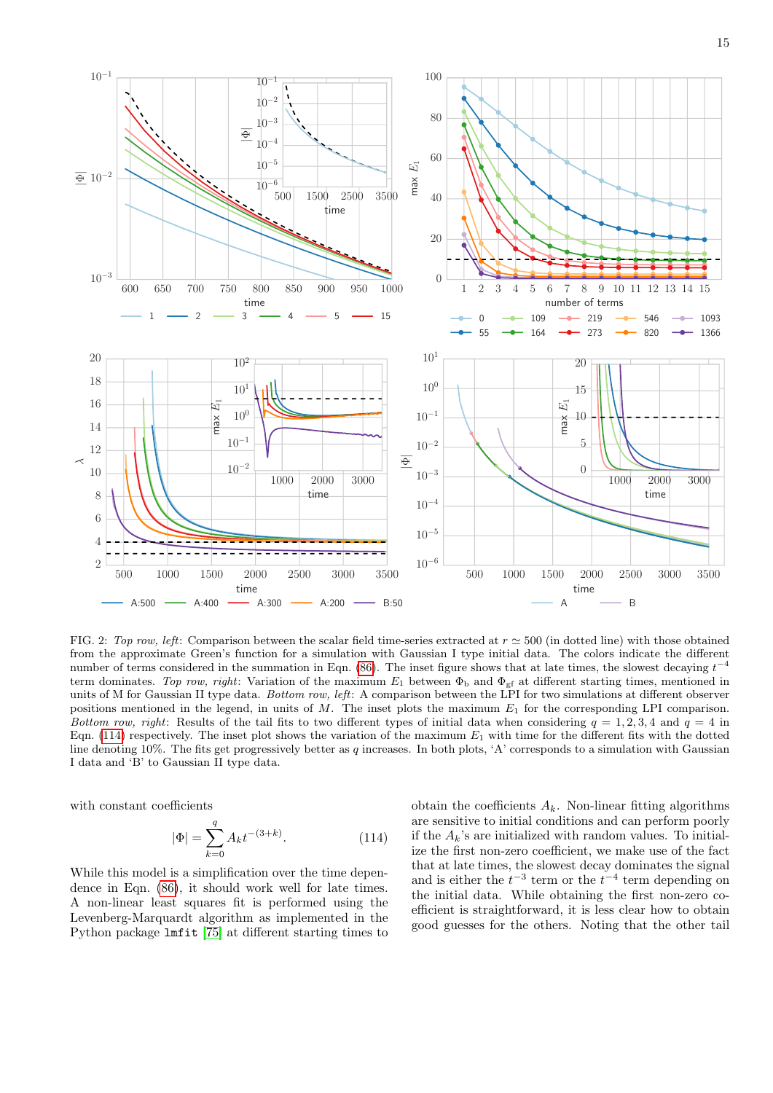

<span id="page-14-0"></span>FIG. 2: Top row, left: Comparison between the scalar field time-series extracted at  $r \approx 500$  (in dotted line) with those obtained from the approximate Green's function for a simulation with Gaussian I type initial data. The colors indicate the different number of terms considered in the summation in Eqn. [\(86\)](#page-10-3). The inset figure shows that at late times, the slowest decaying  $t^{-4}$ term dominates. Top row, right: Variation of the maximum  $E_1$  between  $\Phi_b$  and  $\Phi_{cf}$  at different starting times, mentioned in units of M for Gaussian II type data. Bottom row, left: A comparison between the LPI for two simulations at different observer positions mentioned in the legend, in units of  $M$ . The inset plots the maximum  $E_1$  for the corresponding LPI comparison. Bottom row, right: Results of the tail fits to two different types of initial data when considering  $q = 1, 2, 3, 4$  and  $q = 4$  in Eqn. [\(114\)](#page-14-1) respectively. The inset plot shows the variation of the maximum  $E_1$  with time for the different fits with the dotted line denoting 10%. The fits get progressively better as q increases. In both plots, 'A' corresponds to a simulation with Gaussian I data and 'B' to Gaussian II type data.

with constant coefficients

$$
|\Phi| = \sum_{k=0}^{q} A_k t^{-(3+k)}.
$$
 (114)

While this model is a simplification over the time dependence in Eqn. [\(86\)](#page-10-3), it should work well for late times. A non-linear least squares fit is performed using the Levenberg-Marquardt algorithm as implemented in the Python package lmfit [\[75\]](#page-24-7) at different starting times to

<span id="page-14-1"></span>obtain the coefficients  $A_k$ . Non-linear fitting algorithms are sensitive to initial conditions and can perform poorly if the  $A_k$ 's are initialized with random values. To initialize the first non-zero coefficient, we make use of the fact that at late times, the slowest decay dominates the signal and is either the  $t^{-3}$  term or the  $t^{-4}$  term depending on the initial data. While obtaining the first non-zero coefficient is straightforward, it is less clear how to obtain good guesses for the others. Noting that the other tail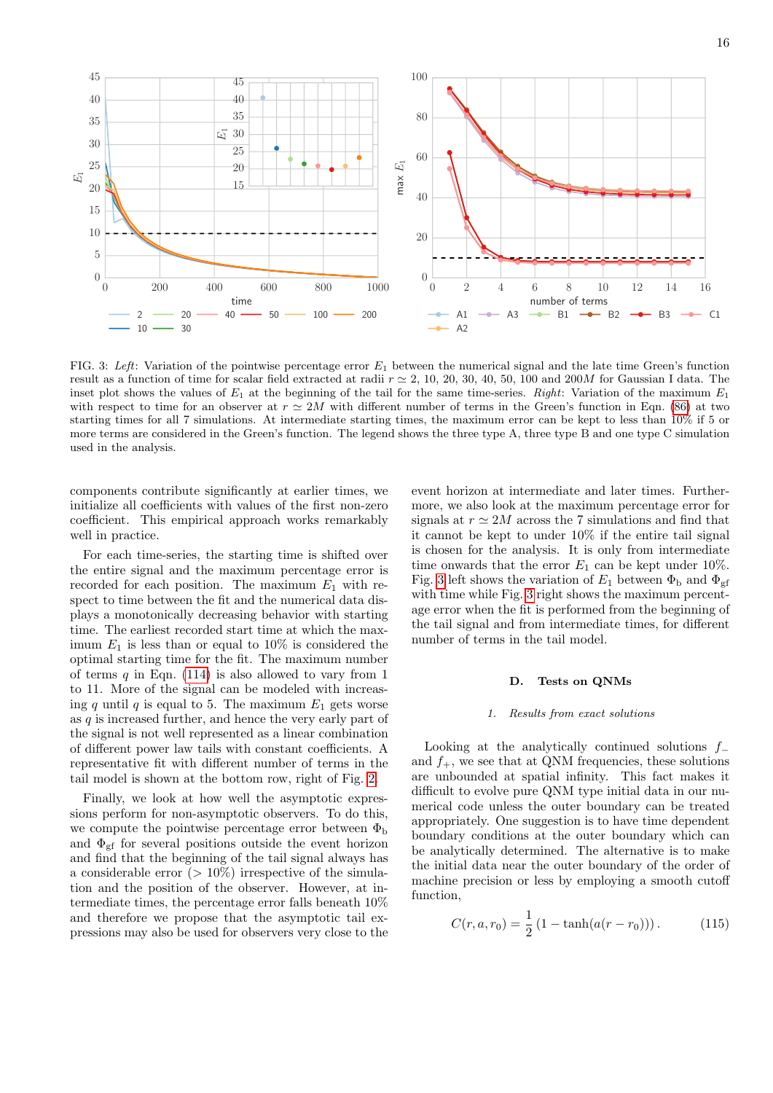

<span id="page-15-1"></span>FIG. 3: Left: Variation of the pointwise percentage error  $E_1$  between the numerical signal and the late time Green's function result as a function of time for scalar field extracted at radii  $r \approx 2, 10, 20, 30, 40, 50, 100$  and  $200M$  for Gaussian I data. The inset plot shows the values of  $E_1$  at the beginning of the tail for the same time-series. Right: Variation of the maximum  $E_1$ with respect to time for an observer at  $r \simeq 2M$  with different number of terms in the Green's function in Eqn. [\(86\)](#page-10-3) at two starting times for all 7 simulations. At intermediate starting times, the maximum error can be kept to less than 10% if 5 or more terms are considered in the Green's function. The legend shows the three type A, three type B and one type C simulation used in the analysis.

components contribute significantly at earlier times, we initialize all coefficients with values of the first non-zero coefficient. This empirical approach works remarkably well in practice.

For each time-series, the starting time is shifted over the entire signal and the maximum percentage error is recorded for each position. The maximum  $E_1$  with respect to time between the fit and the numerical data displays a monotonically decreasing behavior with starting time. The earliest recorded start time at which the maximum  $E_1$  is less than or equal to 10% is considered the optimal starting time for the fit. The maximum number of terms  $q$  in Eqn. [\(114\)](#page-14-1) is also allowed to vary from 1 to 11. More of the signal can be modeled with increasing q until q is equal to 5. The maximum  $E_1$  gets worse as  $q$  is increased further, and hence the very early part of the signal is not well represented as a linear combination of different power law tails with constant coefficients. A representative fit with different number of terms in the tail model is shown at the bottom row, right of Fig. [2.](#page-14-0)

Finally, we look at how well the asymptotic expressions perform for non-asymptotic observers. To do this, we compute the pointwise percentage error between  $\Phi_{\rm b}$ and  $\Phi_{\rm gf}$  for several positions outside the event horizon and find that the beginning of the tail signal always has a considerable error  $(>10\%)$  irrespective of the simulation and the position of the observer. However, at intermediate times, the percentage error falls beneath 10% and therefore we propose that the asymptotic tail expressions may also be used for observers very close to the

event horizon at intermediate and later times. Furthermore, we also look at the maximum percentage error for signals at  $r \simeq 2M$  across the 7 simulations and find that it cannot be kept to under 10% if the entire tail signal is chosen for the analysis. It is only from intermediate time onwards that the error  $E_1$  can be kept under 10%. Fig. [3](#page-15-1) left shows the variation of  $E_1$  between  $\Phi_{\rm b}$  and  $\Phi_{\rm gf}$ with time while Fig. [3](#page-15-1) right shows the maximum percentage error when the fit is performed from the beginning of the tail signal and from intermediate times, for different number of terms in the tail model.

## <span id="page-15-0"></span>D. Tests on QNMs

### 1. Results from exact solutions

Looking at the analytically continued solutions  $f_$ and  $f_{+}$ , we see that at QNM frequencies, these solutions are unbounded at spatial infinity. This fact makes it difficult to evolve pure QNM type initial data in our numerical code unless the outer boundary can be treated appropriately. One suggestion is to have time dependent boundary conditions at the outer boundary which can be analytically determined. The alternative is to make the initial data near the outer boundary of the order of machine precision or less by employing a smooth cutoff function,

$$
C(r, a, r_0) = \frac{1}{2} (1 - \tanh(a(r - r_0))). \qquad (115)
$$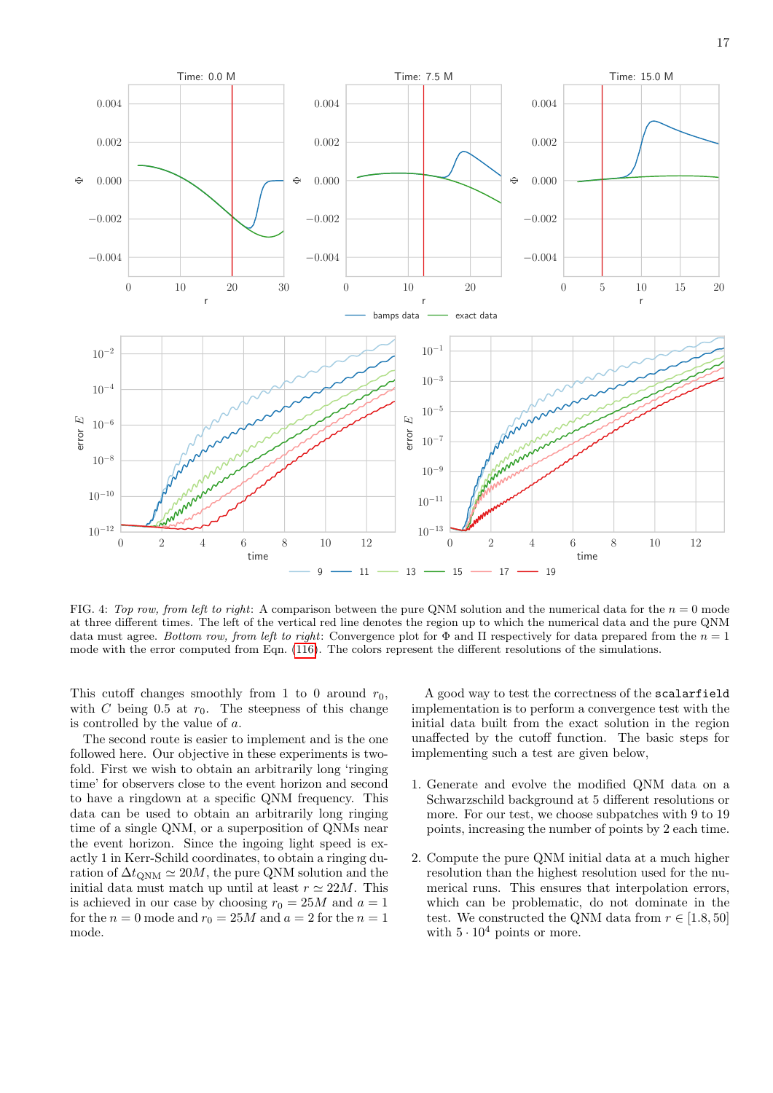

<span id="page-16-0"></span>FIG. 4: Top row, from left to right: A comparison between the pure QNM solution and the numerical data for the  $n = 0$  mode at three different times. The left of the vertical red line denotes the region up to which the numerical data and the pure QNM data must agree. Bottom row, from left to right: Convergence plot for  $\Phi$  and  $\Pi$  respectively for data prepared from the  $n = 1$ mode with the error computed from Eqn. [\(116\)](#page-17-0). The colors represent the different resolutions of the simulations.

This cutoff changes smoothly from 1 to 0 around  $r_0$ , with C being 0.5 at  $r_0$ . The steepness of this change is controlled by the value of a.

The second route is easier to implement and is the one followed here. Our objective in these experiments is twofold. First we wish to obtain an arbitrarily long 'ringing time' for observers close to the event horizon and second to have a ringdown at a specific QNM frequency. This data can be used to obtain an arbitrarily long ringing time of a single QNM, or a superposition of QNMs near the event horizon. Since the ingoing light speed is exactly 1 in Kerr-Schild coordinates, to obtain a ringing duration of  $\Delta t_{\text{ONM}} \simeq 20M$ , the pure QNM solution and the initial data must match up until at least  $r \approx 22M$ . This is achieved in our case by choosing  $r_0 = 25M$  and  $a = 1$ for the  $n = 0$  mode and  $r_0 = 25M$  and  $a = 2$  for the  $n = 1$ mode.

A good way to test the correctness of the scalarfield implementation is to perform a convergence test with the initial data built from the exact solution in the region unaffected by the cutoff function. The basic steps for implementing such a test are given below,

- 1. Generate and evolve the modified QNM data on a Schwarzschild background at 5 different resolutions or more. For our test, we choose subpatches with 9 to 19 points, increasing the number of points by 2 each time.
- 2. Compute the pure QNM initial data at a much higher resolution than the highest resolution used for the numerical runs. This ensures that interpolation errors, which can be problematic, do not dominate in the test. We constructed the QNM data from  $r \in [1.8, 50]$ with  $5 \cdot 10^4$  points or more.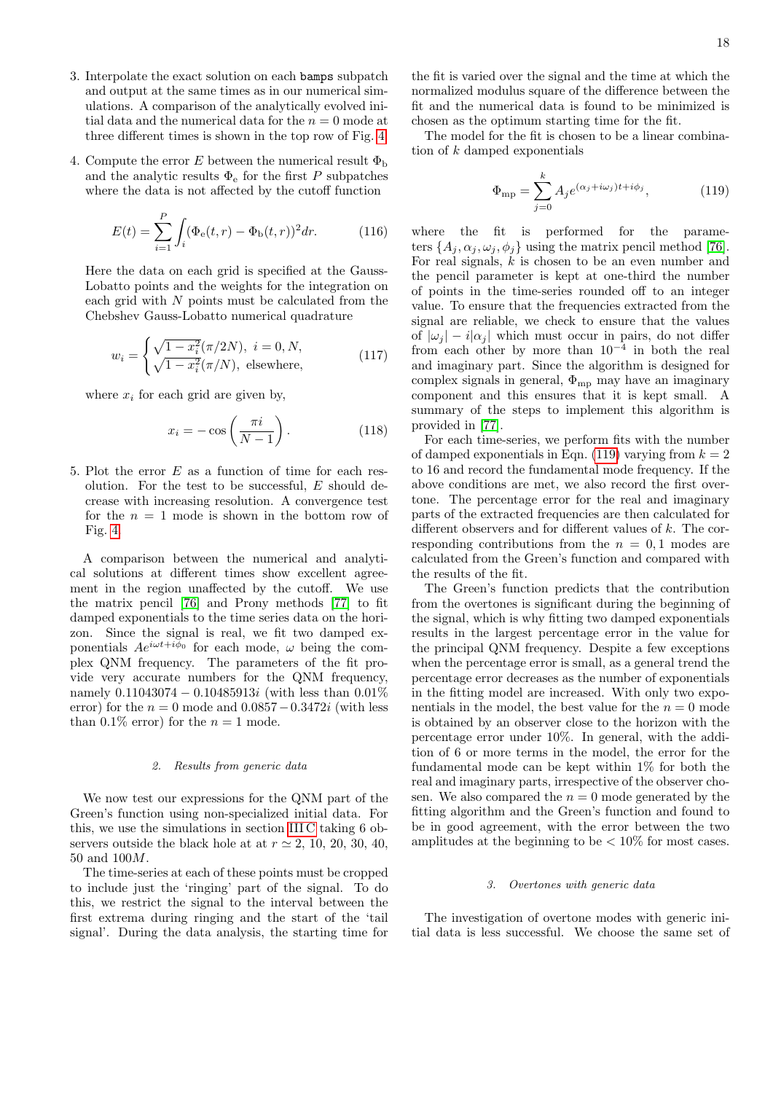- 3. Interpolate the exact solution on each bamps subpatch and output at the same times as in our numerical simulations. A comparison of the analytically evolved initial data and the numerical data for the  $n = 0$  mode at three different times is shown in the top row of Fig. [4.](#page-16-0)
- 4. Compute the error E between the numerical result  $\Phi_{\rm b}$ and the analytic results  $\Phi_{\rm e}$  for the first P subpatches where the data is not affected by the cutoff function

$$
E(t) = \sum_{i=1}^{P} \int_{i} (\Phi_{e}(t, r) - \Phi_{b}(t, r))^{2} dr.
$$
 (116)

Here the data on each grid is specified at the Gauss-Lobatto points and the weights for the integration on each grid with  $N$  points must be calculated from the Chebshev Gauss-Lobatto numerical quadrature

$$
w_i = \begin{cases} \sqrt{1 - x_i^2} (\pi/2N), \ i = 0, N, \\ \sqrt{1 - x_i^2} (\pi/N), \ \text{elsewhere,} \end{cases}
$$
 (117)

where  $x_i$  for each grid are given by,

$$
x_i = -\cos\left(\frac{\pi i}{N-1}\right). \tag{118}
$$

5. Plot the error E as a function of time for each resolution. For the test to be successful,  $E$  should decrease with increasing resolution. A convergence test for the  $n = 1$  mode is shown in the bottom row of Fig. [4.](#page-16-0)

A comparison between the numerical and analytical solutions at different times show excellent agreement in the region unaffected by the cutoff. We use the matrix pencil [\[76\]](#page-24-8) and Prony methods [\[77\]](#page-24-9) to fit damped exponentials to the time series data on the horizon. Since the signal is real, we fit two damped exponentials  $Ae^{i\omega t + i\phi_0}$  for each mode,  $\omega$  being the complex QNM frequency. The parameters of the fit provide very accurate numbers for the QNM frequency, namely 0.11043074 − 0.10485913*i* (with less than 0.01\%) error) for the  $n = 0$  mode and  $0.0857 - 0.3472i$  (with less than 0.1% error) for the  $n = 1$  mode.

### 2. Results from generic data

We now test our expressions for the QNM part of the Green's function using non-specialized initial data. For this, we use the simulations in section [III C](#page-13-0) taking 6 observers outside the black hole at at  $r \approx 2, 10, 20, 30, 40$ , 50 and 100M.

The time-series at each of these points must be cropped to include just the 'ringing' part of the signal. To do this, we restrict the signal to the interval between the first extrema during ringing and the start of the 'tail signal'. During the data analysis, the starting time for the fit is varied over the signal and the time at which the normalized modulus square of the difference between the fit and the numerical data is found to be minimized is chosen as the optimum starting time for the fit.

The model for the fit is chosen to be a linear combination of  $k$  damped exponentials

<span id="page-17-1"></span>
$$
\Phi_{\rm mp} = \sum_{j=0}^{k} A_j e^{(\alpha_j + i\omega_j)t + i\phi_j},\tag{119}
$$

<span id="page-17-0"></span>where the fit is performed for the parameters  $\{A_j, \alpha_j, \omega_j, \phi_j\}$  using the matrix pencil method [\[76\]](#page-24-8). For real signals,  $k$  is chosen to be an even number and the pencil parameter is kept at one-third the number of points in the time-series rounded off to an integer value. To ensure that the frequencies extracted from the signal are reliable, we check to ensure that the values of  $|\omega_i| - i |\alpha_i|$  which must occur in pairs, do not differ from each other by more than  $10^{-4}$  in both the real and imaginary part. Since the algorithm is designed for complex signals in general,  $\Phi_{mp}$  may have an imaginary component and this ensures that it is kept small. A summary of the steps to implement this algorithm is provided in [\[77\]](#page-24-9).

For each time-series, we perform fits with the number of damped exponentials in Eqn. [\(119\)](#page-17-1) varying from  $k = 2$ to 16 and record the fundamental mode frequency. If the above conditions are met, we also record the first overtone. The percentage error for the real and imaginary parts of the extracted frequencies are then calculated for different observers and for different values of k. The corresponding contributions from the  $n = 0, 1$  modes are calculated from the Green's function and compared with the results of the fit.

The Green's function predicts that the contribution from the overtones is significant during the beginning of the signal, which is why fitting two damped exponentials results in the largest percentage error in the value for the principal QNM frequency. Despite a few exceptions when the percentage error is small, as a general trend the percentage error decreases as the number of exponentials in the fitting model are increased. With only two exponentials in the model, the best value for the  $n = 0$  mode is obtained by an observer close to the horizon with the percentage error under 10%. In general, with the addition of 6 or more terms in the model, the error for the fundamental mode can be kept within 1% for both the real and imaginary parts, irrespective of the observer chosen. We also compared the  $n = 0$  mode generated by the fitting algorithm and the Green's function and found to be in good agreement, with the error between the two amplitudes at the beginning to be  $< 10\%$  for most cases.

# 3. Overtones with generic data

The investigation of overtone modes with generic initial data is less successful. We choose the same set of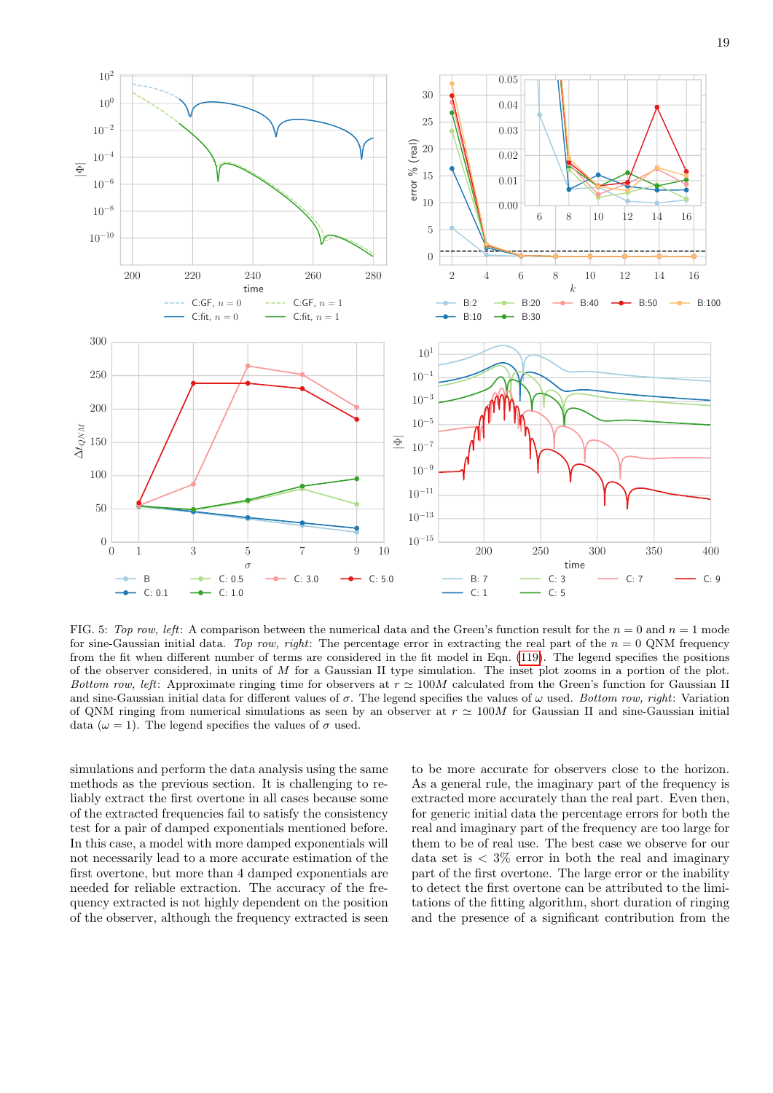

<span id="page-18-0"></span>FIG. 5: Top row, left: A comparison between the numerical data and the Green's function result for the  $n = 0$  and  $n = 1$  mode for sine-Gaussian initial data. Top row, right: The percentage error in extracting the real part of the  $n = 0$  QNM frequency from the fit when different number of terms are considered in the fit model in Eqn. [\(119\)](#page-17-1). The legend specifies the positions of the observer considered, in units of M for a Gaussian II type simulation. The inset plot zooms in a portion of the plot. Bottom row, left: Approximate ringing time for observers at  $r \approx 100M$  calculated from the Green's function for Gaussian II and sine-Gaussian initial data for different values of  $\sigma$ . The legend specifies the values of  $\omega$  used. Bottom row, right: Variation of QNM ringing from numerical simulations as seen by an observer at  $r \approx 100M$  for Gaussian II and sine-Gaussian initial data ( $\omega = 1$ ). The legend specifies the values of  $\sigma$  used.

simulations and perform the data analysis using the same methods as the previous section. It is challenging to reliably extract the first overtone in all cases because some of the extracted frequencies fail to satisfy the consistency test for a pair of damped exponentials mentioned before. In this case, a model with more damped exponentials will not necessarily lead to a more accurate estimation of the first overtone, but more than 4 damped exponentials are needed for reliable extraction. The accuracy of the frequency extracted is not highly dependent on the position of the observer, although the frequency extracted is seen

to be more accurate for observers close to the horizon. As a general rule, the imaginary part of the frequency is extracted more accurately than the real part. Even then, for generic initial data the percentage errors for both the real and imaginary part of the frequency are too large for them to be of real use. The best case we observe for our data set is  $\langle 3\% \rangle$  error in both the real and imaginary part of the first overtone. The large error or the inability to detect the first overtone can be attributed to the limitations of the fitting algorithm, short duration of ringing and the presence of a significant contribution from the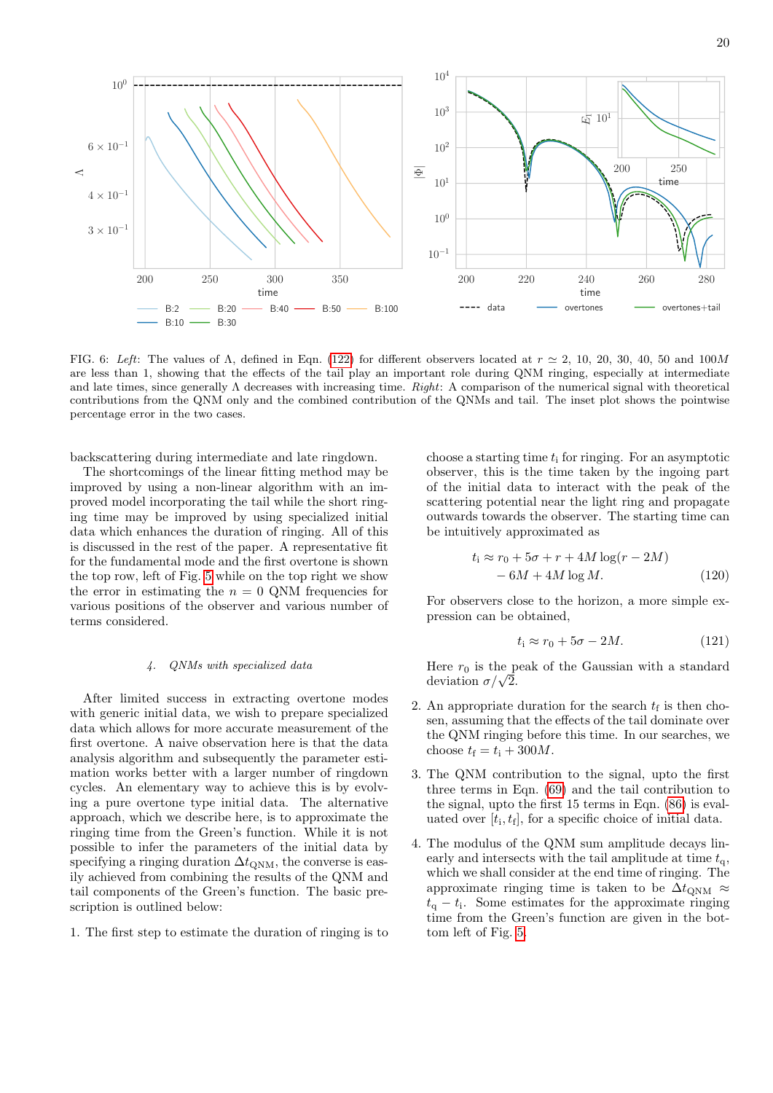

<span id="page-19-0"></span>FIG. 6: Left: The values of  $\Lambda$ , defined in Eqn. [\(122\)](#page-20-1) for different observers located at  $r \approx 2, 10, 20, 30, 40, 50$  and  $100M$ are less than 1, showing that the effects of the tail play an important role during QNM ringing, especially at intermediate and late times, since generally  $\Lambda$  decreases with increasing time. *Right*: A comparison of the numerical signal with theoretical contributions from the QNM only and the combined contribution of the QNMs and tail. The inset plot shows the pointwise percentage error in the two cases.

backscattering during intermediate and late ringdown.

The shortcomings of the linear fitting method may be improved by using a non-linear algorithm with an improved model incorporating the tail while the short ringing time may be improved by using specialized initial data which enhances the duration of ringing. All of this is discussed in the rest of the paper. A representative fit for the fundamental mode and the first overtone is shown the top row, left of Fig. [5](#page-18-0) while on the top right we show the error in estimating the  $n = 0$  QNM frequencies for various positions of the observer and various number of terms considered.

### 4. QNMs with specialized data

After limited success in extracting overtone modes with generic initial data, we wish to prepare specialized data which allows for more accurate measurement of the first overtone. A naive observation here is that the data analysis algorithm and subsequently the parameter estimation works better with a larger number of ringdown cycles. An elementary way to achieve this is by evolving a pure overtone type initial data. The alternative approach, which we describe here, is to approximate the ringing time from the Green's function. While it is not possible to infer the parameters of the initial data by specifying a ringing duration  $\Delta t_{\text{ONM}}$ , the converse is easily achieved from combining the results of the QNM and tail components of the Green's function. The basic prescription is outlined below:

1. The first step to estimate the duration of ringing is to

choose a starting time  $t_i$  for ringing. For an asymptotic observer, this is the time taken by the ingoing part of the initial data to interact with the peak of the scattering potential near the light ring and propagate outwards towards the observer. The starting time can be intuitively approximated as

$$
t_{\rm i} \approx r_0 + 5\sigma + r + 4M\log(r - 2M)
$$

$$
- 6M + 4M\log M. \tag{120}
$$

For observers close to the horizon, a more simple expression can be obtained,

$$
t_{\rm i} \approx r_0 + 5\sigma - 2M. \tag{121}
$$

Here  $r_0$  is the peak of the Gaussian with a standard deviation  $\sigma/\sqrt{2}$ .

- 2. An appropriate duration for the search  $t_f$  is then chosen, assuming that the effects of the tail dominate over the QNM ringing before this time. In our searches, we choose  $t_f = t_i + 300M$ .
- 3. The QNM contribution to the signal, upto the first three terms in Eqn.  $(69)$  and the tail contribution to the signal, upto the first 15 terms in Eqn. [\(86\)](#page-10-3) is evaluated over  $[t_i, t_f]$ , for a specific choice of initial data.
- 4. The modulus of the QNM sum amplitude decays linearly and intersects with the tail amplitude at time  $t_{q}$ , which we shall consider at the end time of ringing. The approximate ringing time is taken to be  $\Delta t_{\text{ONM}} \approx$  $t_{\rm q} - t_{\rm i}$ . Some estimates for the approximate ringing time from the Green's function are given in the bottom left of Fig. [5.](#page-18-0)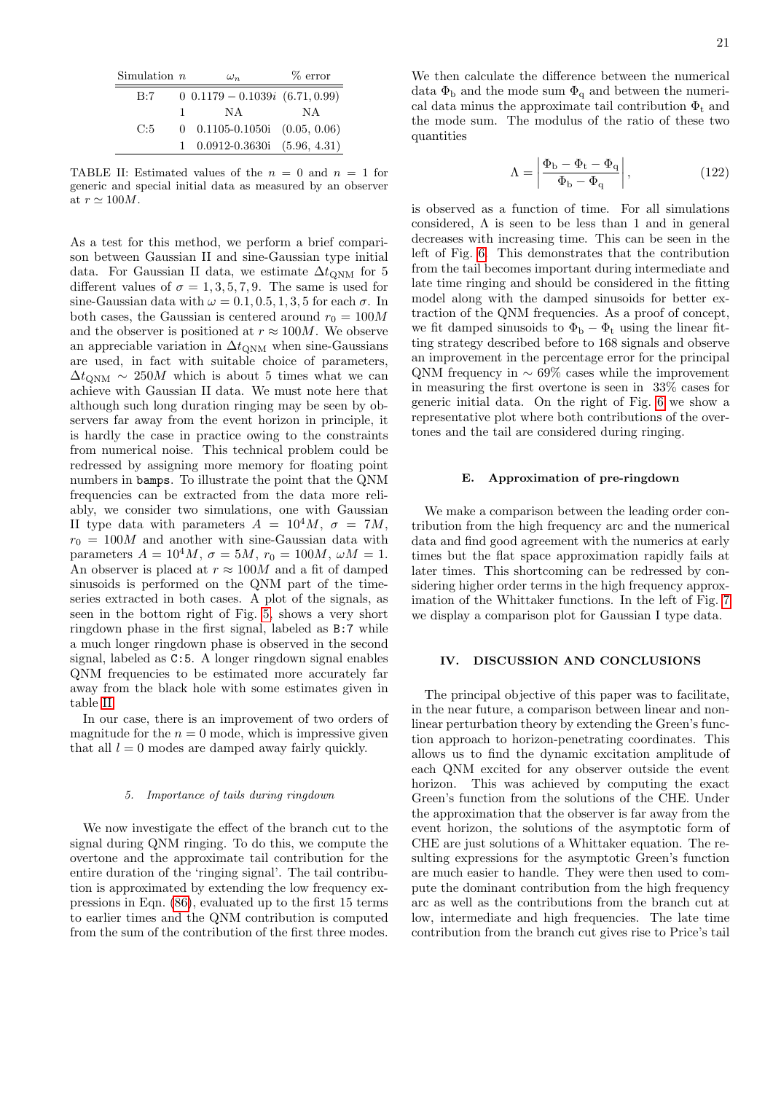| Simulation $n$ |              | $\omega_n$                                   | $%$ error |
|----------------|--------------|----------------------------------------------|-----------|
| B:7            |              | $0$ 0.1179 - 0.1039 <i>i</i> (6.71, 0.99)    |           |
|                | $\mathbf{1}$ | N A                                          | ΝA        |
| C:5            |              | $0$ 0.1105-0.1050i $(0.05, 0.06)$            |           |
|                |              | $1\quad 0.0912 - 0.3630i \quad (5.96, 4.31)$ |           |

<span id="page-20-2"></span>TABLE II: Estimated values of the  $n = 0$  and  $n = 1$  for generic and special initial data as measured by an observer at  $r \simeq 100M$ .

As a test for this method, we perform a brief comparison between Gaussian II and sine-Gaussian type initial data. For Gaussian II data, we estimate  $\Delta t_{\text{QNM}}$  for 5 different values of  $\sigma = 1, 3, 5, 7, 9$ . The same is used for sine-Gaussian data with  $\omega = 0.1, 0.5, 1, 3, 5$  for each  $\sigma$ . In both cases, the Gaussian is centered around  $r_0 = 100M$ and the observer is positioned at  $r \approx 100M$ . We observe an appreciable variation in  $\Delta t_{\rm QNM}$  when sine-Gaussians are used, in fact with suitable choice of parameters,  $\Delta t_{\text{ONM}} \sim 250M$  which is about 5 times what we can achieve with Gaussian II data. We must note here that although such long duration ringing may be seen by observers far away from the event horizon in principle, it is hardly the case in practice owing to the constraints from numerical noise. This technical problem could be redressed by assigning more memory for floating point numbers in bamps. To illustrate the point that the QNM frequencies can be extracted from the data more reliably, we consider two simulations, one with Gaussian II type data with parameters  $A = 10^4 M$ ,  $\sigma = 7M$ ,  $r_0 = 100M$  and another with sine-Gaussian data with parameters  $A = 10^4 M$ ,  $\sigma = 5M$ ,  $r_0 = 100M$ ,  $\omega M = 1$ . An observer is placed at  $r \approx 100M$  and a fit of damped sinusoids is performed on the QNM part of the timeseries extracted in both cases. A plot of the signals, as seen in the bottom right of Fig. [5,](#page-18-0) shows a very short ringdown phase in the first signal, labeled as B:7 while a much longer ringdown phase is observed in the second signal, labeled as C:5. A longer ringdown signal enables QNM frequencies to be estimated more accurately far away from the black hole with some estimates given in table [II.](#page-20-2)

In our case, there is an improvement of two orders of magnitude for the  $n = 0$  mode, which is impressive given that all  $l = 0$  modes are damped away fairly quickly.

### 5. Importance of tails during ringdown

We now investigate the effect of the branch cut to the signal during QNM ringing. To do this, we compute the overtone and the approximate tail contribution for the entire duration of the 'ringing signal'. The tail contribution is approximated by extending the low frequency expressions in Eqn. [\(86\)](#page-10-3), evaluated up to the first 15 terms to earlier times and the QNM contribution is computed from the sum of the contribution of the first three modes.

We then calculate the difference between the numerical data  $\Phi_b$  and the mode sum  $\Phi_q$  and between the numerical data minus the approximate tail contribution  $\Phi_t$  and the mode sum. The modulus of the ratio of these two quantities

<span id="page-20-1"></span>
$$
\Lambda = \left| \frac{\Phi_{\rm b} - \Phi_{\rm t} - \Phi_{\rm q}}{\Phi_{\rm b} - \Phi_{\rm q}} \right|, \tag{122}
$$

is observed as a function of time. For all simulations considered,  $\Lambda$  is seen to be less than 1 and in general decreases with increasing time. This can be seen in the left of Fig. [6.](#page-19-0) This demonstrates that the contribution from the tail becomes important during intermediate and late time ringing and should be considered in the fitting model along with the damped sinusoids for better extraction of the QNM frequencies. As a proof of concept, we fit damped sinusoids to  $\Phi_{\rm b} - \Phi_{\rm t}$  using the linear fitting strategy described before to 168 signals and observe an improvement in the percentage error for the principal QNM frequency in  $\sim 69\%$  cases while the improvement in measuring the first overtone is seen in 33% cases for generic initial data. On the right of Fig. [6](#page-19-0) we show a representative plot where both contributions of the overtones and the tail are considered during ringing.

# E. Approximation of pre-ringdown

We make a comparison between the leading order contribution from the high frequency arc and the numerical data and find good agreement with the numerics at early times but the flat space approximation rapidly fails at later times. This shortcoming can be redressed by considering higher order terms in the high frequency approximation of the Whittaker functions. In the left of Fig. [7](#page-21-0) we display a comparison plot for Gaussian I type data.

# <span id="page-20-0"></span>IV. DISCUSSION AND CONCLUSIONS

The principal objective of this paper was to facilitate, in the near future, a comparison between linear and nonlinear perturbation theory by extending the Green's function approach to horizon-penetrating coordinates. This allows us to find the dynamic excitation amplitude of each QNM excited for any observer outside the event horizon. This was achieved by computing the exact Green's function from the solutions of the CHE. Under the approximation that the observer is far away from the event horizon, the solutions of the asymptotic form of CHE are just solutions of a Whittaker equation. The resulting expressions for the asymptotic Green's function are much easier to handle. They were then used to compute the dominant contribution from the high frequency arc as well as the contributions from the branch cut at low, intermediate and high frequencies. The late time contribution from the branch cut gives rise to Price's tail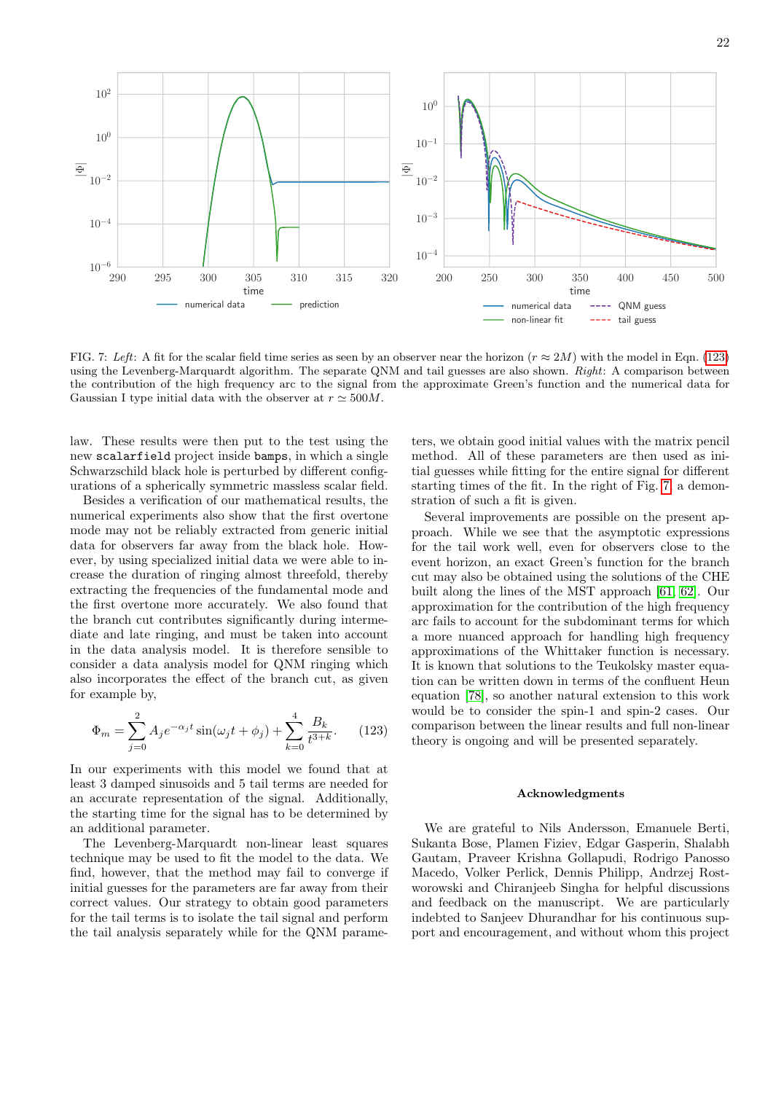

<span id="page-21-0"></span>FIG. 7: Left: A fit for the scalar field time series as seen by an observer near the horizon ( $r \approx 2M$ ) with the model in Eqn. [\(123\)](#page-21-1) using the Levenberg-Marquardt algorithm. The separate QNM and tail guesses are also shown. Right: A comparison between the contribution of the high frequency arc to the signal from the approximate Green's function and the numerical data for Gaussian I type initial data with the observer at  $r \approx 500M$ .

law. These results were then put to the test using the new scalarfield project inside bamps, in which a single Schwarzschild black hole is perturbed by different configurations of a spherically symmetric massless scalar field.

Besides a verification of our mathematical results, the numerical experiments also show that the first overtone mode may not be reliably extracted from generic initial data for observers far away from the black hole. However, by using specialized initial data we were able to increase the duration of ringing almost threefold, thereby extracting the frequencies of the fundamental mode and the first overtone more accurately. We also found that the branch cut contributes significantly during intermediate and late ringing, and must be taken into account in the data analysis model. It is therefore sensible to consider a data analysis model for QNM ringing which also incorporates the effect of the branch cut, as given for example by,

$$
\Phi_m = \sum_{j=0}^2 A_j e^{-\alpha_j t} \sin(\omega_j t + \phi_j) + \sum_{k=0}^4 \frac{B_k}{t^{3+k}}.
$$
 (123)

In our experiments with this model we found that at least 3 damped sinusoids and 5 tail terms are needed for an accurate representation of the signal. Additionally, the starting time for the signal has to be determined by an additional parameter.

The Levenberg-Marquardt non-linear least squares technique may be used to fit the model to the data. We find, however, that the method may fail to converge if initial guesses for the parameters are far away from their correct values. Our strategy to obtain good parameters for the tail terms is to isolate the tail signal and perform the tail analysis separately while for the QNM parameters, we obtain good initial values with the matrix pencil method. All of these parameters are then used as initial guesses while fitting for the entire signal for different starting times of the fit. In the right of Fig. [7,](#page-21-0) a demonstration of such a fit is given.

Several improvements are possible on the present approach. While we see that the asymptotic expressions for the tail work well, even for observers close to the event horizon, an exact Green's function for the branch cut may also be obtained using the solutions of the CHE built along the lines of the MST approach [\[61,](#page-23-21) [62\]](#page-23-23). Our approximation for the contribution of the high frequency arc fails to account for the subdominant terms for which a more nuanced approach for handling high frequency approximations of the Whittaker function is necessary. It is known that solutions to the Teukolsky master equation can be written down in terms of the confluent Heun equation [\[78\]](#page-24-10), so another natural extension to this work would be to consider the spin-1 and spin-2 cases. Our comparison between the linear results and full non-linear theory is ongoing and will be presented separately.

# Acknowledgments

<span id="page-21-1"></span>We are grateful to Nils Andersson, Emanuele Berti, Sukanta Bose, Plamen Fiziev, Edgar Gasperin, Shalabh Gautam, Praveer Krishna Gollapudi, Rodrigo Panosso Macedo, Volker Perlick, Dennis Philipp, Andrzej Rostworowski and Chiranjeeb Singha for helpful discussions and feedback on the manuscript. We are particularly indebted to Sanjeev Dhurandhar for his continuous support and encouragement, and without whom this project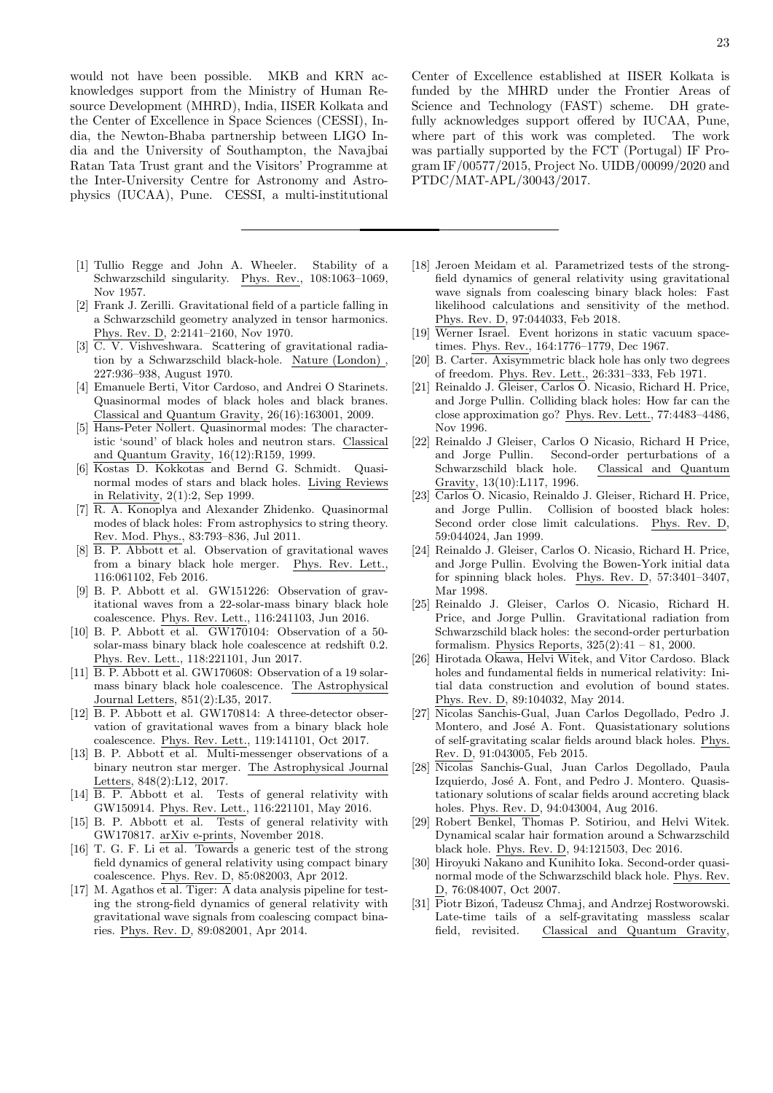would not have been possible. MKB and KRN acknowledges support from the Ministry of Human Resource Development (MHRD), India, IISER Kolkata and the Center of Excellence in Space Sciences (CESSI), India, the Newton-Bhaba partnership between LIGO India and the University of Southampton, the Navajbai Ratan Tata Trust grant and the Visitors' Programme at the Inter-University Centre for Astronomy and Astrophysics (IUCAA), Pune. CESSI, a multi-institutional

- <span id="page-22-0"></span>[1] Tullio Regge and John A. Wheeler. Stability of a Schwarzschild singularity. Phys. Rev., 108:1063–1069, Nov 1957.
- [2] Frank J. Zerilli. Gravitational field of a particle falling in a Schwarzschild geometry analyzed in tensor harmonics. Phys. Rev. D, 2:2141–2160, Nov 1970.
- [3] C. V. Vishveshwara. Scattering of gravitational radiation by a Schwarzschild black-hole. Nature (London) , 227:936–938, August 1970.
- <span id="page-22-14"></span>[4] Emanuele Berti, Vitor Cardoso, and Andrei O Starinets. Quasinormal modes of black holes and black branes. Classical and Quantum Gravity, 26(16):163001, 2009.
- <span id="page-22-15"></span>[5] Hans-Peter Nollert. Quasinormal modes: The characteristic 'sound' of black holes and neutron stars. Classical and Quantum Gravity, 16(12):R159, 1999.
- [6] Kostas D. Kokkotas and Bernd G. Schmidt. Quasinormal modes of stars and black holes. Living Reviews in Relativity, 2(1):2, Sep 1999.
- <span id="page-22-1"></span>[7] R. A. Konoplya and Alexander Zhidenko. Quasinormal modes of black holes: From astrophysics to string theory. Rev. Mod. Phys., 83:793–836, Jul 2011.
- <span id="page-22-2"></span>[8] B. P. Abbott et al. Observation of gravitational waves from a binary black hole merger. Phys. Rev. Lett., 116:061102, Feb 2016.
- [9] B. P. Abbott et al. GW151226: Observation of gravitational waves from a 22-solar-mass binary black hole coalescence. Phys. Rev. Lett., 116:241103, Jun 2016.
- [10] B. P. Abbott et al.  $GW170104$ : Observation of a 50solar-mass binary black hole coalescence at redshift 0.2. Phys. Rev. Lett., 118:221101, Jun 2017.
- [11] B. P. Abbott et al. GW170608: Observation of a 19 solarmass binary black hole coalescence. The Astrophysical Journal Letters, 851(2):L35, 2017.
- [12] B. P. Abbott et al. GW170814: A three-detector observation of gravitational waves from a binary black hole coalescence. Phys. Rev. Lett., 119:141101, Oct 2017.
- <span id="page-22-3"></span>[13] B. P. Abbott et al. Multi-messenger observations of a binary neutron star merger. The Astrophysical Journal Letters, 848(2):L12, 2017.
- <span id="page-22-4"></span>[14] B. P. Abbott et al. Tests of general relativity with GW150914. Phys. Rev. Lett., 116:221101, May 2016.
- [15] B. P. Abbott et al. Tests of general relativity with GW170817. arXiv e-prints, November 2018.
- [16] T. G. F. Li et al. Towards a generic test of the strong field dynamics of general relativity using compact binary coalescence. Phys. Rev. D, 85:082003, Apr 2012.
- [17] M. Agathos et al. Tiger: A data analysis pipeline for testing the strong-field dynamics of general relativity with gravitational wave signals from coalescing compact binaries. Phys. Rev. D, 89:082001, Apr 2014.

Center of Excellence established at IISER Kolkata is funded by the MHRD under the Frontier Areas of Science and Technology (FAST) scheme. DH gratefully acknowledges support offered by IUCAA, Pune, where part of this work was completed. The work was partially supported by the FCT (Portugal) IF Program IF/00577/2015, Project No. UIDB/00099/2020 and PTDC/MAT-APL/30043/2017.

- <span id="page-22-5"></span>[18] Jeroen Meidam et al. Parametrized tests of the strongfield dynamics of general relativity using gravitational wave signals from coalescing binary black holes: Fast likelihood calculations and sensitivity of the method. Phys. Rev. D, 97:044033, Feb 2018.
- <span id="page-22-6"></span>[19] Werner Israel. Event horizons in static vacuum spacetimes. Phys. Rev., 164:1776–1779, Dec 1967.
- <span id="page-22-7"></span>[20] B. Carter. Axisymmetric black hole has only two degrees of freedom. Phys. Rev. Lett., 26:331–333, Feb 1971.
- <span id="page-22-8"></span>[21] Reinaldo J. Gleiser, Carlos O. Nicasio, Richard H. Price, and Jorge Pullin. Colliding black holes: How far can the close approximation go? Phys. Rev. Lett., 77:4483–4486, Nov 1996.
- [22] Reinaldo J Gleiser, Carlos O Nicasio, Richard H Price, and Jorge Pullin. Second-order perturbations of a Schwarzschild black hole. Classical and Quantum Gravity, 13(10):L117, 1996.
- [23] Carlos O. Nicasio, Reinaldo J. Gleiser, Richard H. Price, and Jorge Pullin. Collision of boosted black holes: Second order close limit calculations. Phys. Rev. D, 59:044024, Jan 1999.
- [24] Reinaldo J. Gleiser, Carlos O. Nicasio, Richard H. Price, and Jorge Pullin. Evolving the Bowen-York initial data for spinning black holes. Phys. Rev. D, 57:3401–3407, Mar 1998.
- <span id="page-22-9"></span>[25] Reinaldo J. Gleiser, Carlos O. Nicasio, Richard H. Price, and Jorge Pullin. Gravitational radiation from Schwarzschild black holes: the second-order perturbation formalism. Physics Reports, 325(2):41 – 81, 2000.
- <span id="page-22-10"></span>[26] Hirotada Okawa, Helvi Witek, and Vitor Cardoso. Black holes and fundamental fields in numerical relativity: Initial data construction and evolution of bound states. Phys. Rev. D, 89:104032, May 2014.
- [27] Nicolas Sanchis-Gual, Juan Carlos Degollado, Pedro J. Montero, and José A. Font. Quasistationary solutions of self-gravitating scalar fields around black holes. Phys. Rev. D, 91:043005, Feb 2015.
- [28] Nicolas Sanchis-Gual, Juan Carlos Degollado, Paula Izquierdo, José A. Font, and Pedro J. Montero. Quasistationary solutions of scalar fields around accreting black holes. Phys. Rev. D, 94:043004, Aug 2016.
- <span id="page-22-11"></span>[29] Robert Benkel, Thomas P. Sotiriou, and Helvi Witek. Dynamical scalar hair formation around a Schwarzschild black hole. Phys. Rev. D, 94:121503, Dec 2016.
- <span id="page-22-12"></span>[30] Hiroyuki Nakano and Kunihito Ioka. Second-order quasinormal mode of the Schwarzschild black hole. Phys. Rev. D, 76:084007, Oct 2007.
- <span id="page-22-13"></span>[31] Piotr Bizon, Tadeusz Chmaj, and Andrzej Rostworowski. Late-time tails of a self-gravitating massless scalar field, revisited. Classical and Quantum Gravity,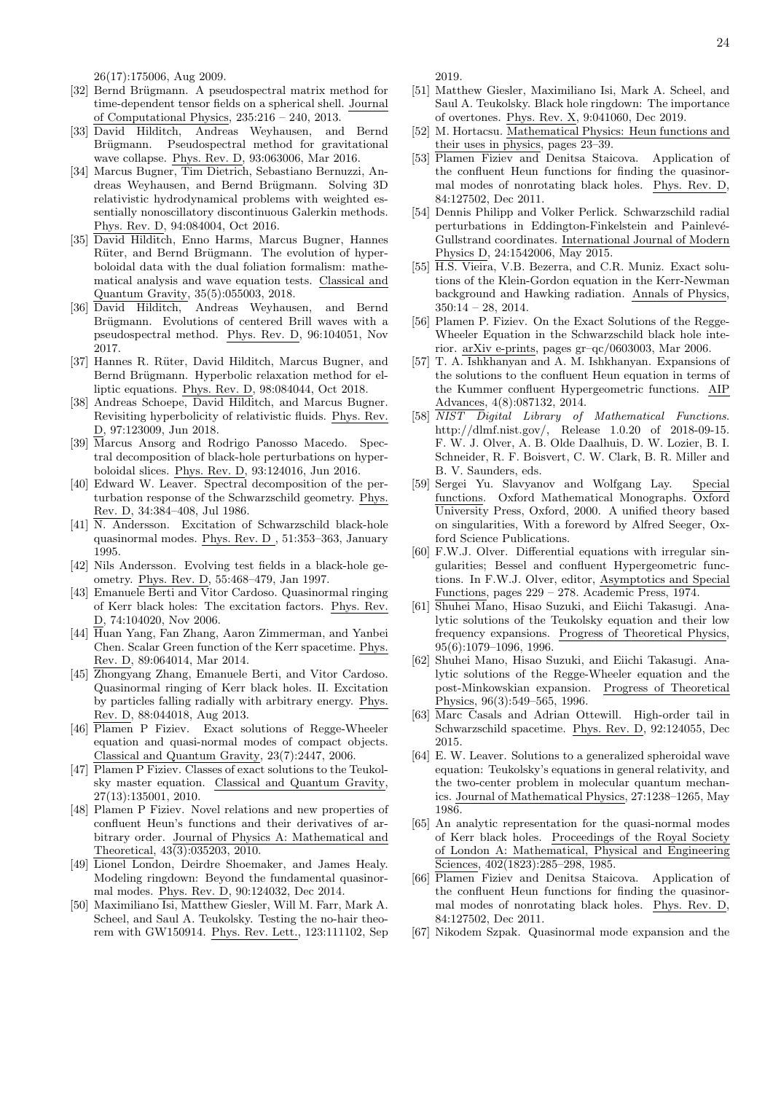26(17):175006, Aug 2009.

- <span id="page-23-0"></span>[32] Bernd Brügmann. A pseudospectral matrix method for time-dependent tensor fields on a spherical shell. Journal of Computational Physics, 235:216 – 240, 2013.
- <span id="page-23-29"></span>[33] David Hilditch, Andreas Weyhausen, and Bernd Brügmann. Pseudospectral method for gravitational wave collapse. Phys. Rev. D, 93:063006, Mar 2016.
- [34] Marcus Bugner, Tim Dietrich, Sebastiano Bernuzzi, Andreas Weyhausen, and Bernd Brügmann. Solving 3D relativistic hydrodynamical problems with weighted essentially nonoscillatory discontinuous Galerkin methods. Phys. Rev. D, 94:084004, Oct 2016.
- [35] David Hilditch, Enno Harms, Marcus Bugner, Hannes Rüter, and Bernd Brügmann. The evolution of hyperboloidal data with the dual foliation formalism: mathematical analysis and wave equation tests. Classical and Quantum Gravity, 35(5):055003, 2018.
- [36] David Hilditch, Andreas Weyhausen, and Bernd Brügmann. Evolutions of centered Brill waves with a pseudospectral method. Phys. Rev. D, 96:104051, Nov 2017.
- <span id="page-23-28"></span>[37] Hannes R. Rüter, David Hilditch, Marcus Bugner, and Bernd Brügmann. Hyperbolic relaxation method for elliptic equations. Phys. Rev. D, 98:084044, Oct 2018.
- <span id="page-23-1"></span>[38] Andreas Schoepe, David Hilditch, and Marcus Bugner. Revisiting hyperbolicity of relativistic fluids. Phys. Rev. D, 97:123009, Jun 2018.
- <span id="page-23-2"></span>[39] Marcus Ansorg and Rodrigo Panosso Macedo. Spectral decomposition of black-hole perturbations on hyperboloidal slices. Phys. Rev. D, 93:124016, Jun 2016.
- <span id="page-23-3"></span>[40] Edward W. Leaver. Spectral decomposition of the perturbation response of the Schwarzschild geometry. Phys. Rev. D, 34:384–408, Jul 1986.
- [41] N. Andersson. Excitation of Schwarzschild black-hole quasinormal modes. Phys. Rev. D , 51:353–363, January 1995.
- <span id="page-23-9"></span>[42] Nils Andersson. Evolving test fields in a black-hole geometry. Phys. Rev. D, 55:468–479, Jan 1997.
- <span id="page-23-10"></span>[43] Emanuele Berti and Vitor Cardoso. Quasinormal ringing of Kerr black holes: The excitation factors. Phys. Rev. D, 74:104020, Nov 2006.
- [44] Huan Yang, Fan Zhang, Aaron Zimmerman, and Yanbei Chen. Scalar Green function of the Kerr spacetime. Phys. Rev. D, 89:064014, Mar 2014.
- <span id="page-23-4"></span>[45] Zhongyang Zhang, Emanuele Berti, and Vitor Cardoso. Quasinormal ringing of Kerr black holes. II. Excitation by particles falling radially with arbitrary energy. Phys. Rev. D, 88:044018, Aug 2013.
- <span id="page-23-5"></span>[46] Plamen P Fiziev. Exact solutions of Regge-Wheeler equation and quasi-normal modes of compact objects. Classical and Quantum Gravity, 23(7):2447, 2006.
- <span id="page-23-14"></span>[47] Plamen P Fiziev. Classes of exact solutions to the Teukolsky master equation. Classical and Quantum Gravity, 27(13):135001, 2010.
- <span id="page-23-6"></span>[48] Plamen P Fiziev. Novel relations and new properties of confluent Heun's functions and their derivatives of arbitrary order. Journal of Physics A: Mathematical and Theoretical,  $43(3):035203$ ,  $2010$ .
- <span id="page-23-7"></span>[49] Lionel London, Deirdre Shoemaker, and James Healy. Modeling ringdown: Beyond the fundamental quasinormal modes. Phys. Rev. D, 90:124032, Dec 2014.
- [50] Maximiliano Isi, Matthew Giesler, Will M. Farr, Mark A. Scheel, and Saul A. Teukolsky. Testing the no-hair theorem with GW150914. Phys. Rev. Lett., 123:111102, Sep

2019.

- <span id="page-23-8"></span>[51] Matthew Giesler, Maximiliano Isi, Mark A. Scheel, and Saul A. Teukolsky. Black hole ringdown: The importance of overtones. Phys. Rev. X, 9:041060, Dec 2019.
- <span id="page-23-11"></span>[52] M. Hortacsu. Mathematical Physics: Heun functions and their uses in physics, pages 23–39.
- <span id="page-23-12"></span>[53] Plamen Fiziev and Denitsa Staicova. Application of the confluent Heun functions for finding the quasinormal modes of nonrotating black holes. Phys. Rev. D, 84:127502, Dec 2011.
- <span id="page-23-13"></span>[54] Dennis Philipp and Volker Perlick. Schwarzschild radial perturbations in Eddington-Finkelstein and Painlevé-Gullstrand coordinates. International Journal of Modern Physics D, 24:1542006, May 2015.
- <span id="page-23-15"></span>[55] H.S. Vieira, V.B. Bezerra, and C.R. Muniz. Exact solutions of the Klein-Gordon equation in the Kerr-Newman background and Hawking radiation. Annals of Physics,  $350:14 - 28$ , 2014.
- <span id="page-23-16"></span>[56] Plamen P. Fiziev. On the Exact Solutions of the Regge-Wheeler Equation in the Schwarzschild black hole interior. arXiv e-prints, pages gr–qc/0603003, Mar 2006.
- <span id="page-23-17"></span>[57] T. A. Ishkhanyan and A. M. Ishkhanyan. Expansions of the solutions to the confluent Heun equation in terms of the Kummer confluent Hypergeometric functions. AIP Advances, 4(8):087132, 2014.
- <span id="page-23-18"></span>[58] NIST Digital Library of Mathematical Functions. http://dlmf.nist.gov/, Release 1.0.20 of 2018-09-15. F. W. J. Olver, A. B. Olde Daalhuis, D. W. Lozier, B. I. Schneider, R. F. Boisvert, C. W. Clark, B. R. Miller and B. V. Saunders, eds.
- <span id="page-23-19"></span>[59] Sergei Yu. Slavyanov and Wolfgang Lay. Special functions. Oxford Mathematical Monographs. Oxford University Press, Oxford, 2000. A unified theory based on singularities, With a foreword by Alfred Seeger, Oxford Science Publications.
- <span id="page-23-20"></span>[60] F.W.J. Olver. Differential equations with irregular singularities; Bessel and confluent Hypergeometric functions. In F.W.J. Olver, editor, Asymptotics and Special Functions, pages 229 – 278. Academic Press, 1974.
- <span id="page-23-21"></span>[61] Shuhei Mano, Hisao Suzuki, and Eiichi Takasugi. Analytic solutions of the Teukolsky equation and their low frequency expansions. Progress of Theoretical Physics, 95(6):1079–1096, 1996.
- <span id="page-23-23"></span>[62] Shuhei Mano, Hisao Suzuki, and Eiichi Takasugi. Analytic solutions of the Regge-Wheeler equation and the post-Minkowskian expansion. Progress of Theoretical Physics, 96(3):549–565, 1996.
- <span id="page-23-22"></span>[63] Marc Casals and Adrian Ottewill. High-order tail in Schwarzschild spacetime. Phys. Rev. D, 92:124055, Dec 2015.
- <span id="page-23-24"></span>[64] E. W. Leaver. Solutions to a generalized spheroidal wave equation: Teukolsky's equations in general relativity, and the two-center problem in molecular quantum mechanics. Journal of Mathematical Physics, 27:1238–1265, May 1986.
- <span id="page-23-25"></span>[65] An analytic representation for the quasi-normal modes of Kerr black holes. Proceedings of the Royal Society of London A: Mathematical, Physical and Engineering Sciences, 402(1823):285–298, 1985.
- <span id="page-23-26"></span>[66] Plamen Fiziev and Denitsa Staicova. Application of the confluent Heun functions for finding the quasinormal modes of nonrotating black holes. Phys. Rev. D, 84:127502, Dec 2011.
- <span id="page-23-27"></span>[67] Nikodem Szpak. Quasinormal mode expansion and the